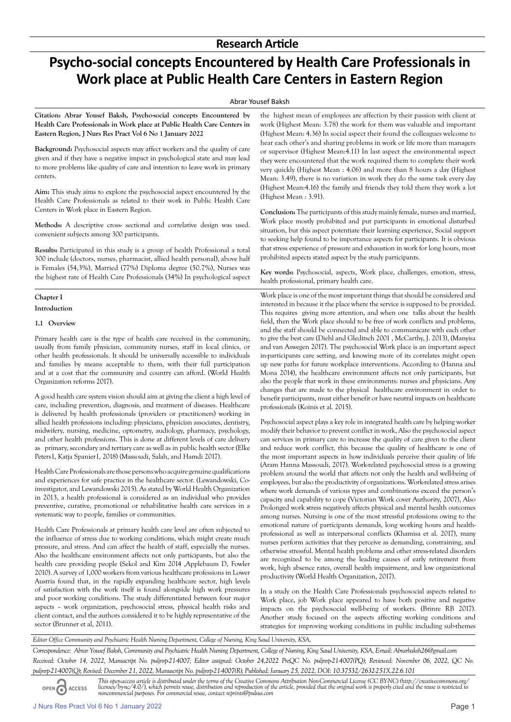# **Psycho-social concepts Encountered by Health Care Professionals in Work place at Public Health Care Centers in Eastern Region**

## Abrar Yousef Baksh

**Citation: Abrar Yousef Baksh, Psycho-social concepts Encountered by Health Care Professionals in Work place at Public Health Care Centers in Eastern Region, J Nurs Res Pract Vol 6 No 1 January 2022** 

**Background:** Psychosocial aspects may affect workers and the quality of care given and if they have a negative impact in psychological state and may lead to more problems like quality of care and intention to leave work in primary centers.

**Aim:** This study aims to explore the psychosocial aspect encountered by the Health Care Professionals as related to their work in Public Health Care Centers in Work place in Eastern Region.

**Methods:** A descriptive cross- sectional and correlative design was used. convenient subjects among 300 participants.

**Results:** Participated in this study is a group of health Professional a total 300 include (doctors, nurses, pharmacist, allied health personal), above half is Females (54,3%), Married (77%) Diploma degree (50.7%), Nurses was the highest rate of Health Care Professionals (34%) In psychological aspect

## **Chapter I Introduction**

**1.1 Overview**

Primary health care is the type of health care received in the community, usually from family physician, community nurses, staff in local clinics, or other health professionals. It should be universally accessible to individuals and families by means acceptable to them, with their full participation and at a cost that the community and country can afford. (World Health Organization reforms 2017).

A good health care system vision should aim at giving the client a high level of care, including prevention, diagnosis, and treatment of diseases. Healthcare is delivered by health professionals (providers or practitioners) working in allied health professions including: physicians, physician associates, dentistry, midwifery, nursing, medicine, optometry, audiology, pharmacy, psychology, and other health professions. This is done at different levels of care delivery as primary, secondary and tertiary care as well as in public health sector (Elke Peters1, Katja Spanier1, 2018) (Massoudi, Salah, and Hamdi 2017).

Health Care Professionals are those persons who acquire genuine qualifications and experiences for safe practice in the healthcare sector. (Lewandowski, Coinvestigator, and Lewandowski 2015). As stated by World Health Organization in 2013, a health professional is considered as an individual who provides preventive, curative, promotional or rehabilitative health care services in a systematic way to people, families or communities.

Health Care Professionals at primary health care level are often subjected to the influence of stress due to working conditions, which might create much pressure, and stress. And can affect the health of staff, especially the nurses. Also the healthcare environment affects not only participants, but also the health care providing people (Sekol and Kim 2014 ,Applebaum D, Fowler 2010). A survey of 1,000 workers from various healthcare professions in Lower Austria found that, in the rapidly expanding healthcare sector, high levels of satisfaction with the work itself is found alongside high work pressures and poor working conditions. The study differentiated between four major aspects – work organization, psychosocial stress, physical health risks and client contact, and the authors considered it to be highly representative of the sector (Brunner et al, 2011).

the highest mean of employees are affection by their passion with client at work (Highest Mean: 3.78) the work for them was valuable and important (Highest Mean: 4.36) In social aspect their found the colleagues welcome to hear each other's and sharing problems in work or life more than managers or supervisor (Highest Mean:4.11) In last aspect the environmental aspect they were encountered that the work required them to complete their work very quickly (Highest Mean : 4.06) and more than 8 hours a day (Highest Mean: 3.49), there is no variation in work they do the same task every day (Highest Mean:4.16) the family and friends they told them they work a lot (Highest Mean : 3.91).

**Conclusion:** The participants of this study mainly female, nurses and married, Work place mostly prohibited and put participants in emotional disturbed situation, but this aspect potentiate their learning experience, Social support to seeking help found to be importance aspects for participants. It is obvious that stress experience of pressure and exhaustion in work for long hours, most prohibited aspects stated aspect by the study participants.

**Key words:** Psychosocial, aspects, Work place, challenges, emotion, stress, health professional, primary health care.

Work place is one of the most important things that should be considered and interested in because it the place where the service is supposed to be provided. This requires giving more attention, and when one talks about the health field, then the Work place should to be free of work conflicts and problems, and the staff should be connected and able to communicate with each other to give the best care (Diehl and Gleditsch 2001 , McCarthy, J. 2013), (Manyisa and van Aswegen 2017). The psychosocial Work place is an important aspect in-participants care setting, and knowing more of its correlates might open up new paths for future workplace interventions. According to (Hanna and Mona 2014), the healthcare environment affects not only participants, but also the people that work in these environments: nurses and physicians. Any changes that are made to the physical healthcare environment in order to benefit participants, must either benefit or have neutral impacts on healthcare professionals (Koinis et al. 2015).

Psychosocial aspect plays a key role in integrated health care by helping worker modify their behavior to prevent conflict in work, Also the psychosocial aspect can services in primary care to increase the quality of care given to the client and reduce work conflict, this because the quality of healthcare is one of the most important aspects in how individuals perceive their quality of life (Aram Hanna Massoudi, 2017). Work-related psychosocial stress is a growing problem around the world that affects not only the health and well-being of employees, but also the productivity of organizations. Work-related stress arises where work demands of various types and combinations exceed the person's capacity and capability to cope (Victorian Work cover Authority, 2007), Also Prolonged work **s**tress negatively affects physical and mental health outcomes among nurses. Nursing is one of the most stressful professions owing to the emotional nature of participants demands, long working hours and healthprofessional as well as interpersonal conflicts (Khamisa et al. 2017), many nurses perform activities that they perceive as demanding, constraining, and otherwise stressful. Mental health problems and other stress-related disorders are recognized to be among the leading causes of early retirement from work, high absence rates, overall health impairment, and low organizational productivity (World Health Organization, 2017).

In a study on the Health Care Professionals psychosocial aspects related to Work place, job Work place appeared to have both positive and negative impacts on the psychosocial well-being of workers. (Brinre RB 2017). Another study focused on the aspects affecting working conditions and strategies for improving working conditions in public including sub-themes

*Editor Office Community and Psychiatric Health Nursing Department, College of Nursing, King Saud University, KSA,*

*Correspondence: Abrar Yousef Baksh, Community and Psychiatric Health Nursing Department, College of Nursing, King Saud University, KSA, E-mail: Abrarbaksh26@gmail.com Received: October 14, 2022, Manuscript No. puljnrp-21-4007; Editor assigned: October 24,2022 PreQC No. puljnrp-21-4007(PQ); Reviewed: November 06, 2022, QC No. puljnrp-21-4007(Q); Revised: December 21, 2022, Manuscript No. puljnrp-21-4007(R); Published: January 25, 2022, DOI: 10.37532/2632-251X.22.6.101*

This open-access article is distributed under the terms of the Creative Commons Attribution Non-Commercial License (CC BYNC) (http://creativecommons.org/<br>licenses/bync/4.0/), which permits reuse, distribution and reproduct **ACCESS** 

OPEN O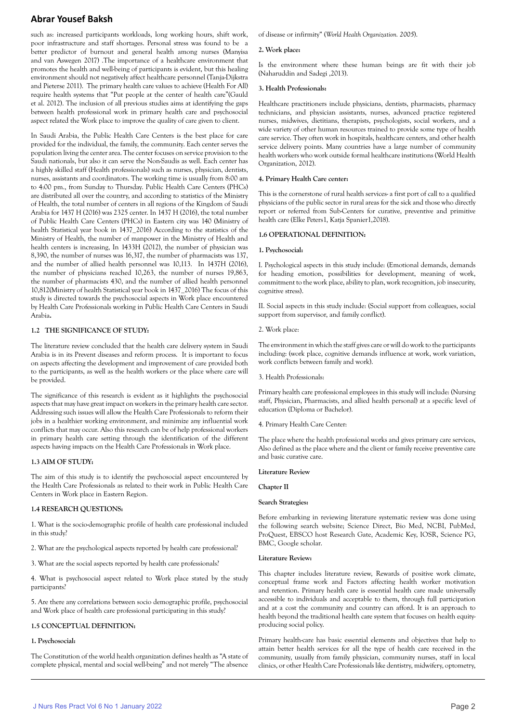such as: increased participants workloads, long working hours, shift work, poor infrastructure and staff shortages. Personal stress was found to be a better predictor of burnout and general health among nurses (Manyisa and van Aswegen 2017) .The importance of a healthcare environment that promotes the health and well-being of participants is evident, but this healing environment should not negatively affect healthcare personnel (Tanja-Dijkstra and Pieterse 2011). The primary health care values to achieve (Health For All) require health systems that "Put people at the center of health care"(Gauld et al. 2012). The inclusion of all previous studies aims at identifying the gaps between health professional work in primary health care and psychosocial aspect related the Work place to improve the quality of care given to client.

In Saudi Arabia, the Public Health Care Centers is the best place for care provided for the individual, the family, the community. Each center serves the population living the center area. The center focuses on service provision to the Saudi nationals, but also it can serve the Non-Saudis as well. Each center has a highly skilled staff (Health professionals) such as nurses, physician, dentists, nurses, assistants and coordinators. The working time is usually from 8:00 am to 4:00 pm., from Sunday to Thursday. Public Health Care Centers (PHCs) are distributed all over the country, and according to statistics of the Ministry of Health, the total number of centers in all regions of the Kingdom of Saudi Arabia for 1437 H (2016) was 2325 center. In 1437 H (2016), the total number of Public Health Care Centers (PHCs) in Eastern city was 140 (Ministry of health Statistical year book in 1437\_2016) According to the statistics of the Ministry of Health, the number of manpower in the Ministry of Health and health centers is increasing, In 1433H (2012), the number of physician was 8,390, the number of nurses was 16,317, the number of pharmacists was 137, and the number of allied health personnel was 10,113. In 1437H (2016), the number of physicians reached 10,263, the number of nurses 19,863, the number of pharmacists 430, and the number of allied health personnel 10,812(Ministry of health Statistical year book in 1437\_2016) The focus of this study is directed towards the psychosocial aspects in Work place encountered by Health Care Professionals working in Public Health Care Centers in Saudi Arabia**.**

## **1.2 THE SIGNIFICANCE OF STUDY:**

The literature review concluded that the health care delivery system in Saudi Arabia is in its Prevent diseases and reform process. It is important to focus on aspects affecting the development and improvement of care provided both to the participants, as well as the health workers or the place where care will be provided.

The significance of this research is evident as it highlights the psychosocial aspects that may have great impact on workers in the primary health care sector. Addressing such issues will allow the Health Care Professionals to reform their jobs in a healthier working environment, and minimize any influential work conflicts that may occur. Also this research can be of help professional workers in primary health care setting through the identification of the different aspects having impacts on the Health Care Professionals in Work place.

### **1.3 AIM OF STUDY:**

The aim of this study is to identify the psychosocial aspect encountered by the Health Care Professionals as related to their work in Public Health Care Centers in Work place in Eastern Region.

### **1.4 RESEARCH QUESTIONS:**

1. What is the socio-demographic profile of health care professional included in this study?

- 2. What are the psychological aspects reported by health care professional?
- 3. What are the social aspects reported by health care professionals?

4. What is psychosocial aspect related to Work place stated by the study participants?

5. Are there any correlations between socio demographic profile, psychosocial and Work place of health care professional participating in this study?

## **1.5 CONCEPTUAL DEFINITION:**

### **1. Psychosocial:**

The Constitution of the world health organization defines health as "A state of complete physical, mental and social well-being" and not merely "The absence of disease or infirmity" (*World Health Organization. 2005*).

### **2. Work place:**

Is the environment where these human beings are fit with their job (Naharuddin and Sadegi ,2013).

#### **3. Health Professionals:**

Healthcare practitioners include physicians, dentists, pharmacists, pharmacy technicians, and physician assistants, nurses, advanced practice registered nurses, midwives, dietitians, therapists, psychologists, social workers, and a wide variety of other human resources trained to provide some type of health care service. They often work in hospitals, healthcare centers, and other health service delivery points. Many countries have a large number of community health workers who work outside formal healthcare institutions (World Health Organization, 2012).

### **4. Primary Health Care center:**

This is the cornerstone of rural health services- a first port of call to a qualified physicians of the public sector in rural areas for the sick and those who directly report or referred from Sub-Centers for curative, preventive and primitive health care (Elke Peters1, Katja Spanier1,2018).

### **1.6 OPERATIONAL DEFINITION:**

#### **1. Psychosocial:**

I. Psychological aspects in this study include: (Emotional demands, demands for heading emotion, possibilities for development, meaning of work, commitment to the work place, ability to plan, work recognition, job insecurity, cognitive stress).

II. Social aspects in this study include: (Social support from colleagues, social support from supervisor, and family conflict).

#### 2. Work place:

The environment in which the staff gives care or will do work to the participants including: (work place, cognitive demands influence at work, work variation, work conflicts between family and work).

3. Health Professionals:

Primary health care professional employees in this study will include: (Nursing staff, Physician, Pharmacists, and allied health personal) at a specific level of education (Diploma or Bachelor).

4. Primary Health Care Center:

The place where the health professional works and gives primary care services, Also defined as the place where and the client or family receive preventive care and basic curative care.

### **Literature Review**

**Chapter II**

#### **Search Strategies:**

Before embarking in reviewing literature systematic review was done using the following search website; Science Direct, Bio Med, NCBI, PubMed, ProQuest, EBSCO host Research Gate, Academic Key, IOSR, Science PG, BMC, Google scholar.

#### **Literature Review:**

This chapter includes literature review, Rewards of positive work climate, conceptual frame work and Factors affecting health worker motivation and retention. Primary health care is essential health care made universally accessible to individuals and acceptable to them, through full participation and at a cost the community and country can afford. It is an approach to health beyond the traditional health care system that focuses on health equityproducing social policy.

Primary health-care has basic essential elements and objectives that help to attain better health services for all the type of health care received in the community, usually from family physician, community nurses, staff in local clinics, or other Health Care Professionals like dentistry, midwifery, optometry,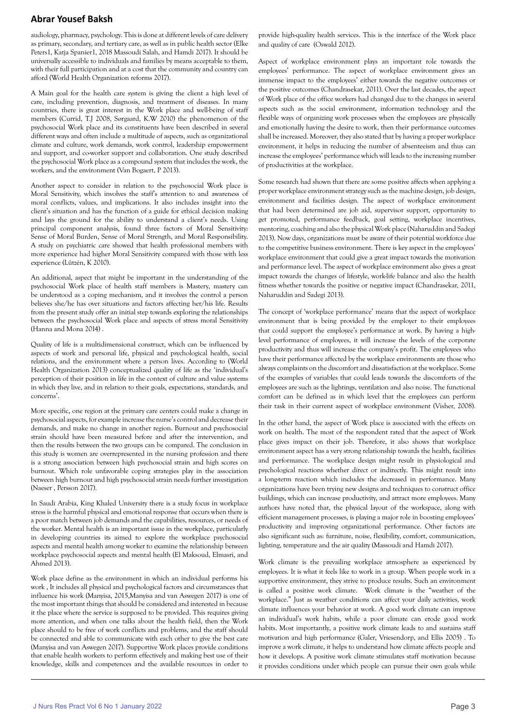audiology, pharmacy, psychology. This is done at different levels of care delivery as primary, secondary, and tertiary care, as well as in public health sector (Elke Peters1, Katja Spanier1, 2018 Massoudi Salah, and Hamdi 2017). It should be universally accessible to individuals and families by means acceptable to them, with their full participation and at a cost that the community and country can afford (World Health Organization reforms 2017).

A Main goal for the health care system is giving the client a high level of care, including prevention, diagnosis, and treatment of diseases. In many countries, there is great interest in the Work place and well-being of staff members (Currid, T.J 2008, Sørgaard, K.W 2010) the phenomenon of the psychosocial Work place and its constituents have been described in several different ways and often include a multitude of aspects, such as organizational climate and culture, work demands, work control, leadership empowerment and support, and co-worker support and collaboration. One study described the psychosocial Work place as a compound system that includes the work, the workers, and the environment (Van Bogaert, P 2013).

Another aspect to consider in relation to the psychosocial Work place is Moral Sensitivity, which involves the staff's attention to and awareness of moral conflicts, values, and implications. It also includes insight into the client's situation and has the function of a guide for ethical decision making and lays the ground for the ability to understand a client's needs. Using principal component analysis, found three factors of Moral Sensitivity: Sense of Moral Burden, Sense of Moral Strength, and Moral Responsibility. A study on psychiatric care showed that health professional members with more experience had higher Moral Sensitivity compared with those with less experience (Lützén, K 2010).

An additional, aspect that might be important in the understanding of the psychosocial Work place of health staff members is Mastery, mastery can be understood as a coping mechanism, and it involves the control a person believes she/he has over situations and factors affecting her/his life. Results from the present study offer an initial step towards exploring the relationships between the psychosocial Work place and aspects of stress moral Sensitivity (Hanna and Mona 2014) .

Quality of life is a multidimensional construct, which can be influenced by aspects of work and personal life, physical and psychological health, social relations, and the environment where a person lives. According to (World Health Organization 2013) conceptualized quality of life as the 'individual's perception of their position in life in the context of culture and value systems in which they live, and in relation to their goals, expectations, standards, and concerns'.

More specific, one region at the primary care centers could make a change in psychosocial aspects, for example increase the nurse's control and decrease their demands, and make no change in another region. Burnout and psychosocial strain should have been measured before and after the intervention, and then the results between the two groups can be compared. The conclusion in this study is women are overrepresented in the nursing profession and there is a strong association between high psychosocial strain and high scores on burnout. Which role unfavorable coping strategies play in the association between high burnout and high psychosocial strain needs further investigation (Naeser , Persson 2017).

In Saudi Arabia, King Khaled University there is a study focus in workplace stress is the harmful physical and emotional response that occurs when there is a poor match between job demands and the capabilities, resources, or needs of the worker. Mental health is an important issue in the workplace, particularly in developing countries its aimed to explore the workplace psychosocial aspects and mental health among worker to examine the relationship between workplace psychosocial aspects and mental health (El Maksoud, Elmasri, and Ahmed 2013).

Work place define as the environment in which an individual performs his work , It includes all physical and psychological factors and circumstances that influence his work (Manyisa, 2015,Manyisa and van Aswegen 2017) is one of the most important things that should be considered and interested in because it the place where the service is supposed to be provided. This requires giving more attention, and when one talks about the health field, then the Work place should to be free of work conflicts and problems, and the staff should be connected and able to communicate with each other to give the best care (Manyisa and van Aswegen 2017). Supportive Work places provide conditions that enable health workers to perform effectively and making best use of their knowledge, skills and competences and the available resources in order to provide high-quality health services. This is the interface of the Work place and quality of care (Oswald 2012).

Aspect of workplace environment plays an important role towards the employees' performance. The aspect of workplace environment gives an immense impact to the employees' either towards the negative outcomes or the positive outcomes (Chandrasekar, 2011). Over the last decades, the aspect of Work place of the office workers had changed due to the changes in several aspects such as the social environment, information technology and the flexible ways of organizing work processes when the employees are physically and emotionally having the desire to work, then their performance outcomes shall be increased. Moreover, they also stated that by having a proper workplace environment, it helps in reducing the number of absenteeism and thus can increase the employees' performance which will leads to the increasing number of productivities at the workplace.

Some research had shown that there are some positive affects when applying a proper workplace environment strategy such as the machine design, job design, environment and facilities design. The aspect of workplace environment that had been determined are job aid, supervisor support, opportunity to get promoted, performance feedback, goal setting, workplace incentives, mentoring, coaching and also the physical Work place (Naharuddin and Sadegi 2013). Now days, organizations must be aware of their potential workforce due to the competitive business environment. There is key aspect in the employees' workplace environment that could give a great impact towards the motivation and performance level. The aspect of workplace environment also gives a great impact towards the changes of lifestyle, work-life balance and also the health fitness whether towards the positive or negative impact (Chandrasekar, 2011, Naharuddin and Sadegi 2013).

The concept of 'workplace performance' means that the aspect of workplace environment that is being provided by the employer to their employees that could support the employee's performance at work. By having a highlevel performance of employees, it will increase the levels of the corporate productivity and thus will increase the company's profit. The employees who have their performance affected by the workplace environments are those who always complaints on the discomfort and dissatisfaction at the workplace. Some of the examples of variables that could leads towards the discomforts of the employees are such as the lightings, ventilation and also noise. The functional comfort can be defined as in which level that the employees can perform their task in their current aspect of workplace environment (Visher, 2008).

In the other hand, the aspect of Work place is associated with the effects on work on health. The most of the respondent rated that the aspect of Work place gives impact on their job. Therefore, it also shows that workplace environment aspect has a very strong relationship towards the health, facilities and performance. The workplace design might result in physiological and psychological reactions whether direct or indirectly. This might result into a long-term reaction which includes the decreased in performance. Many organizations have been trying new designs and techniques to construct office buildings, which can increase productivity, and attract more employees. Many authors have noted that, the physical layout of the workspace, along with efficient management processes, is playing a major role in boosting employees' productivity and improving organizational performance. Other factors are also significant such as: furniture, noise, flexibility, comfort, communication, lighting, temperature and the air quality (Massoudi and Hamdi 2017).

Work climate is the prevailing workplace atmosphere as experienced by employees. It is what it feels like to work in a group. When people work in a supportive environment, they strive to produce results. Such an environment is called a positive work climate. Work climate is the "weather of the workplace." Just as weather conditions can affect your daily activities, work climate influences your behavior at work. A good work climate can improve an individual's work habits, while a poor climate can erode good work habits. Most importantly, a positive work climate leads to and sustains staff motivation and high performance (Galer, Vriesendorp, and Ellis 2005) . To improve a work climate, it helps to understand how climate affects people and how it develops. A positive work climate stimulates staff motivation because it provides conditions under which people can pursue their own goals while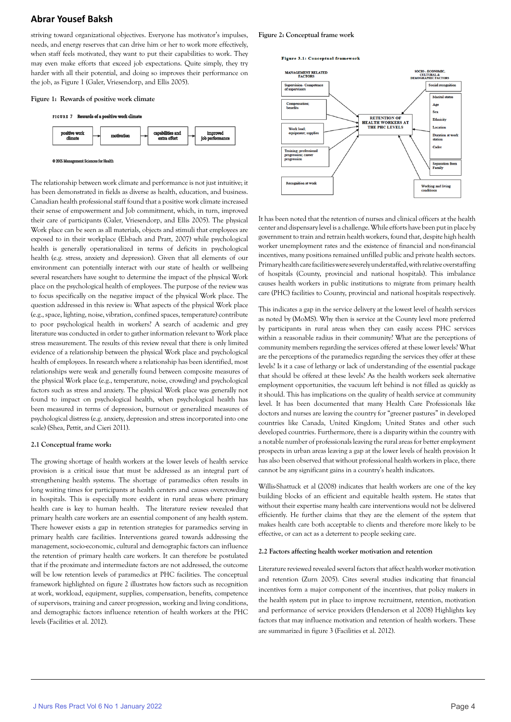striving toward organizational objectives. Everyone has motivator's impulses, needs, and energy reserves that can drive him or her to work more effectively, when staff feels motivated, they want to put their capabilities to work. They may even make efforts that exceed job expectations. Quite simply, they try harder with all their potential, and doing so improves their performance on the job, as Figure 1 (Galer, Vriesendorp, and Ellis 2005).

## **Figure 1: Rewards of positive work climate**



@ 2005 Management Sciences for Healtl

The relationship between work climate and performance is not just intuitive; it has been demonstrated in fields as diverse as health, education, and business. Canadian health professional staff found that a positive work climate increased their sense of empowerment and Job commitment, which, in turn, improved their care of participants (Galer, Vriesendorp, and Ellis 2005). The physical Work place can be seen as all materials, objects and stimuli that employees are exposed to in their workplace (Elsbach and Pratt, 2007) while psychological health is generally operationalized in terms of deficits in psychological health (e.g. stress, anxiety and depression). Given that all elements of our environment can potentially interact with our state of health or wellbeing several researchers have sought to determine the impact of the physical Work place on the psychological health of employees. The purpose of the review was to focus specifically on the negative impact of the physical Work place. The question addressed in this review is: What aspects of the physical Work place (e.g., space, lighting, noise, vibration, confined spaces, temperature) contribute to poor psychological health in workers? A search of academic and grey literature was conducted in order to gather information relevant to Work place stress measurement. The results of this review reveal that there is only limited evidence of a relationship between the physical Work place and psychological health of employees. In research where a relationship has been identified, most relationships were weak and generally found between composite measures of the physical Work place (e.g., temperature, noise, crowding) and psychological factors such as stress and anxiety. The physical Work place was generally not found to impact on psychological health, when psychological health has been measured in terms of depression, burnout or generalized measures of psychological distress (e.g. anxiety, depression and stress incorporated into one scale) (Shea, Pettit, and Cieri 2011).

## **2.1 Conceptual frame work:**

The growing shortage of health workers at the lower levels of health service provision is a critical issue that must be addressed as an integral part of strengthening health systems. The shortage of paramedics often results in long waiting times for participants at health centers and causes overcrowding in hospitals. This is especially more evident in rural areas where primary health care is key to human health. The literature review revealed that primary health care workers are an essential component of any health system. There however exists a gap in retention strategies for paramedics serving in primary health care facilities. Interventions geared towards addressing the management, socio-economic, cultural and demographic factors can influence the retention of primary health care workers. It can therefore be postulated that if the proximate and intermediate factors are not addressed, the outcome will be low retention levels of paramedics at PHC facilities. The conceptual framework highlighted on figure 2 illustrates how factors such as recognition at work, workload, equipment, supplies, compensation, benefits, competence of supervisors, training and career progression, working and living conditions, and demographic factors influence retention of health workers at the PHC levels (Facilities et al. 2012).

## **Figure 2: Conceptual frame work**

## Figure 3.1: Conceptual framework



It has been noted that the retention of nurses and clinical officers at the health center and dispensary level is a challenge. While efforts have been put in place by government to train and retrain health workers, found that, despite high health worker unemployment rates and the existence of financial and non-financial incentives, many positions remained unfilled public and private health sectors. Primary health care facilities were severely understaffed, with relative overstaffing of hospitals (County, provincial and national hospitals). This imbalance causes health workers in public institutions to migrate from primary health care (PHC) facilities to County, provincial and national hospitals respectively.

This indicates a gap in the service delivery at the lowest level of health services as noted by (MoMS). Why then is service at the County level more preferred by participants in rural areas when they can easily access PHC services within a reasonable radius in their community? What are the perceptions of community members regarding the services offered at these lower levels? What are the perceptions of the paramedics regarding the services they offer at these levels? Is it a case of lethargy or lack of understanding of the essential package that should be offered at these levels? As the health workers seek alternative employment opportunities, the vacuum left behind is not filled as quickly as it should. This has implications on the quality of health service at community level. It has been documented that many Health Care Professionals like doctors and nurses are leaving the country for "greener pastures" in developed countries like Canada, United Kingdom; United States and other such developed countries. Furthermore, there is a disparity within the country with a notable number of professionals leaving the rural areas for better employment prospects in urban areas leaving a gap at the lower levels of health provision It has also been observed that without professional health workers in place, there cannot be any significant gains in a country's health indicators.

Willis-Shattuck et al (2008) indicates that health workers are one of the key building blocks of an efficient and equitable health system. He states that without their expertise many health care interventions would not be delivered efficiently. He further claims that they are the element of the system that makes health care both acceptable to clients and therefore more likely to be effective, or can act as a deterrent to people seeking care.

## **2.2 Factors affecting health worker motivation and retention**

Literature reviewed revealed several factors that affect health worker motivation and retention (Zurn 2005). Cites several studies indicating that financial incentives form a major component of the incentives, that policy makers in the health system put in place to improve recruitment, retention, motivation and performance of service providers (Henderson et al 2008) Highlights key factors that may influence motivation and retention of health workers. These are summarized in figure 3 (Facilities et al. 2012).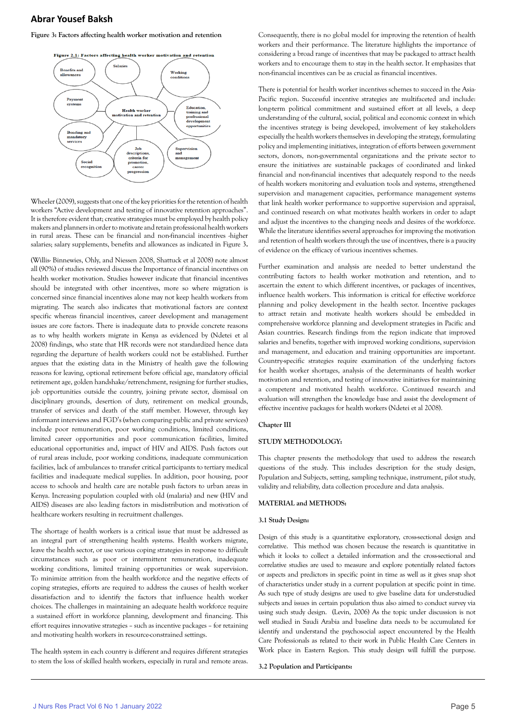**Figure 3: Factors affecting health worker motivation and retention**



Wheeler (2009), suggests that one of the key priorities for the retention of health workers "Active development and testing of innovative retention approaches". It is therefore evident that; creative strategies must be employed by health policy makers and planners in order to motivate and retain professional health workers in rural areas. These can be financial and non-financial incentives -higher salaries; salary supplements, benefits and allowances as indicated in Figure 3**.**

(Willis- Binnewies, Ohly, and Niessen 2008, Shattuck et al 2008) note almost all (90%) of studies reviewed discuss the Importance of financial incentives on health worker motivation. Studies however indicate that financial incentives should be integrated with other incentives, more so where migration is concerned since financial incentives alone may not keep health workers from migrating. The search also indicates that motivational factors are context specific whereas financial incentives, career development and management issues are core factors. There is inadequate data to provide concrete reasons as to why health workers migrate in Kenya as evidenced by (Ndetei et al 2008) findings, who state that HR records were not standardized hence data regarding the departure of health workers could not be established. Further argues that the existing data in the Ministry of health gave the following reasons for leaving, optional retirement before official age, mandatory official retirement age, golden handshake/retrenchment, resigning for further studies, job opportunities outside the country, joining private sector, dismissal on disciplinary grounds, desertion of duty, retirement on medical grounds, transfer of services and death of the staff member. However, through key informant interviews and FGD's (when comparing public and private services) include poor remuneration, poor working conditions, limited conditions, limited career opportunities and poor communication facilities, limited educational opportunities and, impact of HIV and AIDS. Push factors out of rural areas include, poor working conditions, inadequate communication facilities, lack of ambulances to transfer critical participants to tertiary medical facilities and inadequate medical supplies. In addition, poor housing, poor access to schools and health care are notable push factors to urban areas in Kenya. Increasing population coupled with old (malaria) and new (HIV and AIDS) diseases are also leading factors in misdistribution and motivation of healthcare workers resulting in recruitment challenges.

The shortage of health workers is a critical issue that must be addressed as an integral part of strengthening health systems. Health workers migrate, leave the health sector, or use various coping strategies in response to difficult circumstances such as poor or intermittent remuneration, inadequate working conditions, limited training opportunities or weak supervision. To minimize attrition from the health workforce and the negative effects of coping strategies, efforts are required to address the causes of health worker dissatisfaction and to identify the factors that influence health worker choices. The challenges in maintaining an adequate health workforce require a sustained effort in workforce planning, development and financing. This effort requires innovative strategies – such as incentive packages – for retaining and motivating health workers in resource-constrained settings.

The health system in each country is different and requires different strategies to stem the loss of skilled health workers, especially in rural and remote areas.

Consequently, there is no global model for improving the retention of health workers and their performance. The literature highlights the importance of considering a broad range of incentives that may be packaged to attract health workers and to encourage them to stay in the health sector. It emphasizes that non-financial incentives can be as crucial as financial incentives.

There is potential for health worker incentives schemes to succeed in the Asia-Pacific region. Successful incentive strategies are multifaceted and include: long-term political commitment and sustained effort at all levels, a deep understanding of the cultural, social, political and economic context in which the incentives strategy is being developed, involvement of key stakeholders especially the health workers themselves in developing the strategy, formulating policy and implementing initiatives, integration of efforts between government sectors, donors, non-governmental organizations and the private sector to ensure the initiatives are sustainable packages of coordinated and linked financial and non-financial incentives that adequately respond to the needs of health workers monitoring and evaluation tools and systems, strengthened supervision and management capacities, performance management systems that link health worker performance to supportive supervision and appraisal, and continued research on what motivates health workers in order to adapt and adjust the incentives to the changing needs and desires of the workforce. While the literature identifies several approaches for improving the motivation and retention of health workers through the use of incentives, there is a paucity of evidence on the efficacy of various incentives schemes.

Further examination and analysis are needed to better understand the contributing factors to health worker motivation and retention, and to ascertain the extent to which different incentives, or packages of incentives, influence health workers. This information is critical for effective workforce planning and policy development in the health sector. Incentive packages to attract retain and motivate health workers should be embedded in comprehensive workforce planning and development strategies in Pacific and Asian countries. Research findings from the region indicate that improved salaries and benefits, together with improved working conditions, supervision and management, and education and training opportunities are important. Country-specific strategies require examination of the underlying factors for health worker shortages, analysis of the determinants of health worker motivation and retention, and testing of innovative initiatives for maintaining a competent and motivated health workforce. Continued research and evaluation will strengthen the knowledge base and assist the development of effective incentive packages for health workers (Ndetei et al 2008).

#### **Chapter III**

### **STUDY METHODOLOGY:**

This chapter presents the methodology that used to address the research questions of the study. This includes description for the study design, Population and Subjects, setting, sampling technique, instrument, pilot study, validity and reliability, data collection procedure and data analysis.

## **MATERIAL and METHODS:**

#### **3.1 Study Design:**

Design of this study is a quantitative exploratory, cross-sectional design and correlative. This method was chosen because the research is quantitative in which it looks to collect a detailed information and the cross-sectional and correlative studies are used to measure and explore potentially related factors or aspects and predictors in specific point in time as well as it gives snap shot of characteristics under study in a current population at specific point in time. As such type of study designs are used to give baseline data for under-studied subjects and issues in certain population thus also aimed to conduct survey via using such study design. (Levin, 2006) As the topic under discussion is not well studied in Saudi Arabia and baseline data needs to be accumulated for identify and understand the psychosocial aspect encountered by the Health Care Professionals as related to their work in Public Health Care Centers in Work place in Eastern Region. This study design will fulfill the purpose.

#### **3.2 Population and Participants:**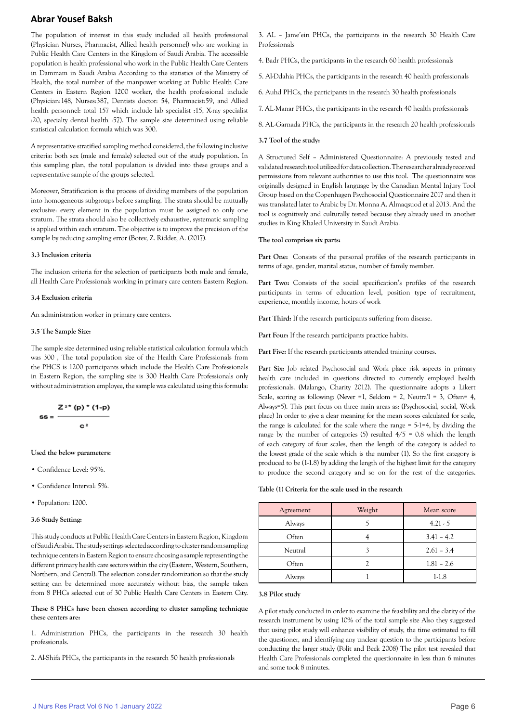The population of interest in this study included all health professional (Physician Nurses, Pharmacist, Allied health personnel) who are working in Public Health Care Centers in the Kingdom of Saudi Arabia. The accessible population is health professional who work in the Public Health Care Centers in Dammam in Saudi Arabia According to the statistics of the Ministry of Health, the total number of the manpower working at Public Health Care Centers in Eastern Region 1200 worker, the health professional include (Physician:148, Nurses:387, Dentists doctor: 54, Pharmacist:59, and Allied health personnel: total 157 which include lab specialist :15, X-ray specialist :20, specialty dental health :57). The sample size determined using reliable statistical calculation formula which was 300.

A representative stratified sampling method considered, the following inclusive criteria: both sex (male and female) selected out of the study population. In this sampling plan, the total population is divided into these groups and a representative sample of the groups selected.

Moreover, Stratification is the process of dividing members of the population into homogeneous subgroups before sampling. The strata should be mutually exclusive: every element in the population must be assigned to only one stratum. The strata should also be collectively exhaustive, systematic sampling is applied within each stratum. The objective is to improve the precision of the sample by reducing sampling error (Botev, Z. Ridder, A. (2017).

### **3.3 Inclusion criteria**

The inclusion criteria for the selection of participants both male and female, all Health Care Professionals working in primary care centers Eastern Region.

#### **3.4 Exclusion criteria**

An administration worker in primary care centers.

#### **3.5 The Sample Size:**

The sample size determined using reliable statistical calculation formula which was 300 , The total population size of the Health Care Professionals from the PHCS is 1200 participants which include the Health Care Professionals in Eastern Region, the sampling size is 300 Health Care Professionals only without administration employee, the sample was calculated using this formula:



#### **Used the below parameters:**

- Confidence Level: 95%.
- Confidence Interval: 5%.
- Population: 1200.

### **3.6 Study Setting:**

This study conducts at Public Health Care Centers in Eastern Region, Kingdom of Saudi Arabia. The study settings selected according to cluster random sampling technique centers in Eastern Region to ensure choosing a sample representing the different primary health care sectors within the city (Eastern, Western, Southern, Northern, and Central). The selection consider randomization so that the study setting can be determined more accurately without bias, the sample taken from 8 PHCs selected out of 30 Public Health Care Centers in Eastern City.

### **These 8 PHCs have been chosen according to cluster sampling technique these centers are:**

1. Administration PHCs, the participants in the research 30 health professionals.

2. Al-Shifa PHCs, the participants in the research 50 health professionals

3. AL – Jame'ein PHCs, the participants in the research 30 Health Care Professionals

4. Badr PHCs, the participants in the research 60 health professionals

5. Al-Ddahia PHCs, the participants in the research 40 health professionals

6. Auhd PHCs, the participants in the research 30 health professionals

7. AL-Manar PHCs, the participants in the research 40 health professionals

8. AL-Garnada PHCs, the participants in the research 20 health professionals

### **3.7 Tool of the study:**

A Structured Self – Administered Questionnaire: A previously tested and validated research tool utilized for data collection. The researcher already received permissions from relevant authorities to use this tool. The questionnaire was originally designed in English language by the Canadian Mental Injury Tool Group based on the Copenhagen Psychosocial Questionnaire 2017 and then it was translated later to Arabic by Dr. Monna A. Almaqsuod et al 2013. And the tool is cognitively and culturally tested because they already used in another studies in King Khaled University in Saudi Arabia.

### **The tool comprises six parts:**

Part One: Consists of the personal profiles of the research participants in terms of age, gender, marital status, number of family member.

Part Two: Consists of the social specification's profiles of the research participants in terms of education level, position type of recruitment, experience, monthly income, hours of work

Part Third: If the research participants suffering from disease.

**Part Four:** If the research participants practice habits.

Part Five: If the research participants attended training courses.

Part Six: Job related Psychosocial and Work place risk aspects in primary health care included in questions directed to currently employed health professionals. (Malango, Charity 2012). The questionnaire adopts a Likert Scale, scoring as following: (Never =1, Seldom = 2, Neutra'l = 3, Often= 4, Always=5). This part focus on three main areas as: (Psychosocial, social, Work place) In order to give a clear meaning for the mean scores calculated for scale, the range is calculated for the scale where the range = 5-1=4, by dividing the range by the number of categories (5) resulted  $4/5 = 0.8$  which the length of each category of four scales, then the length of the category is added to the lowest grade of the scale which is the number (1). So the first category is produced to be (1-1.8) by adding the length of the highest limit for the category to produce the second category and so on for the rest of the categories.

#### **Table (1) Criteria for the scale used in the research**

| Agreement | Weight | Mean score   |
|-----------|--------|--------------|
| Always    |        | $4.21 - 5$   |
| Often     |        | $3.41 - 4.2$ |
| Neutral   |        | $2.61 - 3.4$ |
| Often     |        | $1.81 - 2.6$ |
| Always    |        | $1-1.8$      |

## **3.8 Pilot study**

A pilot study conducted in order to examine the feasibility and the clarity of the research instrument by using 10% of the total sample size Also they suggested that using pilot study will enhance visibility of study, the time estimated to fill the questioner, and identifying any unclear question to the participants before conducting the larger study (Polit and Beck 2008) The pilot test revealed that Health Care Professionals completed the questionnaire in less than 6 minutes and some took 8 minutes.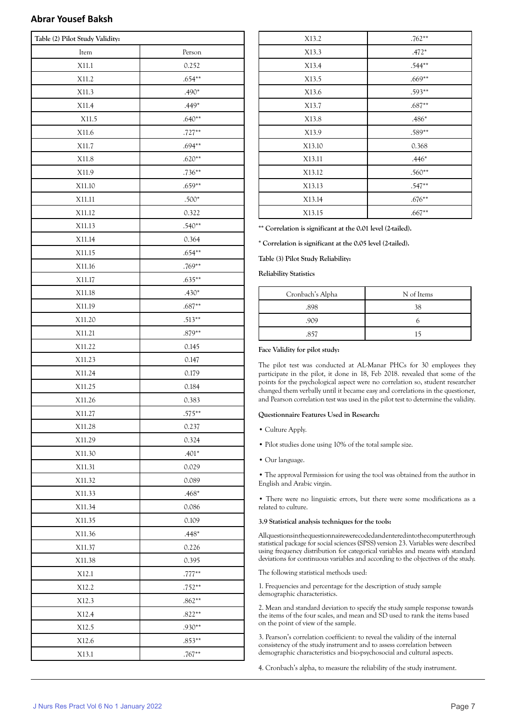| Table (2) Pilot Study Validity: |           |  |
|---------------------------------|-----------|--|
| Item                            | Person    |  |
| X11.1                           | 0.252     |  |
| X11.2                           | $.654**$  |  |
| X11.3                           | $.490*$   |  |
| X11.4                           | $.449*$   |  |
| X11.5                           | $.640**$  |  |
| X11.6                           | $.727**$  |  |
| X11.7                           | $.694**$  |  |
| X11.8                           | $.620**$  |  |
| X11.9                           | $.736**$  |  |
| X11.10                          | $.659**$  |  |
| X11.11                          | $.500*$   |  |
| X11.12                          | 0.322     |  |
| X11.13                          | $.540**$  |  |
| X11.14                          | 0.364     |  |
| X11.15                          | $.654**$  |  |
| X11.16                          | $.769**$  |  |
| X11.17                          | $.635**$  |  |
| X11.18                          | $.430*$   |  |
| X11.19                          | $.687**$  |  |
| X11.20                          | $.513**$  |  |
| X11.21                          | $.879**$  |  |
| X11.22                          | 0.145     |  |
| X11.23                          | 0.147     |  |
| X11.24                          | 0.179     |  |
| X11.25                          | 0.184     |  |
| X11.26                          | 0.383     |  |
| X11.27                          | $.575***$ |  |
| X11.28                          | 0.237     |  |
| X11.29                          | 0.324     |  |
| X11.30                          | $.401*$   |  |
| X11.31                          | 0.029     |  |
| X11.32                          | 0.089     |  |
| X11.33                          | $.468*$   |  |
| X11.34                          | 0.086     |  |
| X11.35                          | 0.109     |  |
| X11.36                          | $.448*$   |  |
| X11.37                          | 0.226     |  |
| X11.38                          | 0.395     |  |
| X12.1                           | $.777**$  |  |
| X12.2                           | $.752**$  |  |
| X12.3                           | $.862**$  |  |
| X12.4                           | $.822**$  |  |
| X12.5                           | $.930**$  |  |
| X12.6                           | $.853**$  |  |
| X13.1                           | $.767**$  |  |

| X13.2  | $.762**$ |
|--------|----------|
| X13.3  | $.472*$  |
| X13.4  | $.544**$ |
| X13.5  | $.669**$ |
| X13.6  | $.593**$ |
| X13.7  | $.687**$ |
| X13.8  | $.486*$  |
| X13.9  | .589**   |
| X13.10 | 0.368    |
| X13.11 | $.446*$  |
| X13.12 | $.560**$ |
| X13.13 | $.547**$ |
| X13.14 | $.676**$ |
| X13.15 | $.667**$ |

**\*\* Correlation is significant at the 0.01 level (2-tailed).**

**\* Correlation is significant at the 0.05 level (2-tailed).**

**Table (3) Pilot Study Reliability:**

**Reliability Statistics**

| Cronbach's Alpha | N of Items |
|------------------|------------|
| .898             | 38         |
| 909              |            |
| 857              | 15         |

#### **Face Validity for pilot study:**

The pilot test was conducted at AL-Manar PHCs for 30 employees they participate in the pilot, it done in 18, Feb 2018. revealed that some of the points for the psychological aspect were no correlation so, student researcher changed them verbally until it became easy and correlations in the questioner, and Pearson correlation test was used in the pilot test to determine the validity.

#### **Questionnaire Features Used in Research:**

- Culture Apply.
- Pilot studies done using 10% of the total sample size.
- Our language.

• The approval Permission for using the tool was obtained from the author in English and Arabic virgin.

• There were no linguistic errors, but there were some modifications as a related to culture.

### **3.9 Statistical analysis techniques for the tools:**

All questions in the questionnaire were coded and entered into the computer through statistical package for social sciences (SPSS) version 23. Variables were described using frequency distribution for categorical variables and means with standard deviations for continuous variables and according to the objectives of the study.

The following statistical methods used:

1. Frequencies and percentage for the description of study sample demographic characteristics.

2. Mean and standard deviation to specify the study sample response towards the items of the four scales, and mean and SD used to rank the items based on the point of view of the sample.

3. Pearson's correlation coefficient: to reveal the validity of the internal consistency of the study instrument and to assess correlation between demographic characteristics and bio-psychosocial and cultural aspects.

4. Cronbach's alpha, to measure the reliability of the study instrument.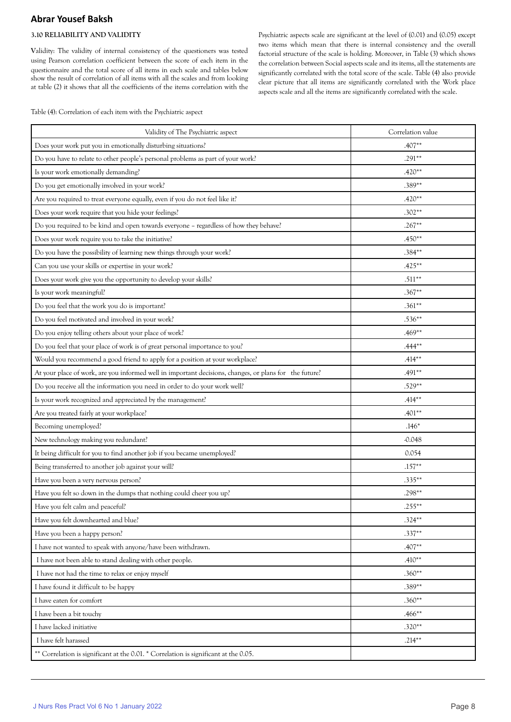## **3.10 RELIABILITY AND VALIDITY**

**V**alidity: The validity of internal consistency of the questioners was tested using Pearson correlation coefficient between the score of each item in the questionnaire and the total score of all items in each scale and tables below show the result of correlation of all items with all the scales and from looking at table (2) it shows that all the coefficients of the items correlation with the Psychiatric aspects scale are significant at the level of (0.01) and (0.05) except two items which mean that there is internal consistency and the overall factorial structure of the scale is holding. Moreover, in Table (3) which shows the correlation between Social aspects scale and its items, all the statements are significantly correlated with the total score of the scale. Table (4) also provide clear picture that all items are significantly correlated with the Work place aspects scale and all the items are significantly correlated with the scale.

Table (4): Correlation of each item with the Psychiatric aspect

| Validity of The Psychiatric aspect                                                                     | Correlation value |
|--------------------------------------------------------------------------------------------------------|-------------------|
| Does your work put you in emotionally disturbing situations?                                           | $.407**$          |
| Do you have to relate to other people's personal problems as part of your work?                        | $.291**$          |
| Is your work emotionally demanding?                                                                    | $.420**$          |
| Do you get emotionally involved in your work?                                                          | .389**            |
| Are you required to treat everyone equally, even if you do not feel like it?                           | $.420**$          |
| Does your work require that you hide your feelings?                                                    | $.302**$          |
| Do you required to be kind and open towards everyone - regardless of how they behave?                  | $.267**$          |
| Does your work require you to take the initiative?                                                     | $.450**$          |
| Do you have the possibility of learning new things through your work?                                  | $.384**$          |
| Can you use your skills or expertise in your work?                                                     | $.425**$          |
| Does your work give you the opportunity to develop your skills?                                        | $.511**$          |
| Is your work meaningful?                                                                               | $.367**$          |
| Do you feel that the work you do is important?                                                         | $.361**$          |
| Do you feel motivated and involved in your work?                                                       | $.536**$          |
| Do you enjoy telling others about your place of work?                                                  | $.469**$          |
| Do you feel that your place of work is of great personal importance to you?                            | $.444**$          |
| Would you recommend a good friend to apply for a position at your workplace?                           | $.414***$         |
| At your place of work, are you informed well in important decisions, changes, or plans for the future? | $.491**$          |
| Do you receive all the information you need in order to do your work well?                             | $.529**$          |
| Is your work recognized and appreciated by the management?                                             | $.414***$         |
| Are you treated fairly at your workplace?                                                              | $.401**$          |
| Becoming unemployed?                                                                                   | $.146*$           |
| New technology making you redundant?                                                                   | $-0.048$          |
| It being difficult for you to find another job if you became unemployed?                               | 0.054             |
| Being transferred to another job against your will?                                                    | $.157**$          |
| Have you been a very nervous person?                                                                   | $.335**$          |
| Have you felt so down in the dumps that nothing could cheer you up?                                    | $.298**$          |
| Have you felt calm and peaceful?                                                                       | $.255***$         |
| Have you felt downhearted and blue?                                                                    | $.324**$          |
| Have you been a happy person?                                                                          | $.337**$          |
| I have not wanted to speak with anyone/have been withdrawn.                                            | $.407**$          |
| I have not been able to stand dealing with other people.                                               | $.410**$          |
| I have not had the time to relax or enjoy myself                                                       | $.360**$          |
| I have found it difficult to be happy                                                                  | .389**            |
| I have eaten for comfort                                                                               | $.360**$          |
| I have been a bit touchy                                                                               | $.466**$          |
| I have lacked initiative                                                                               | $.320**$          |
| I have felt harassed                                                                                   | $.214**$          |
| ** Correlation is significant at the 0.01. * Correlation is significant at the 0.05.                   |                   |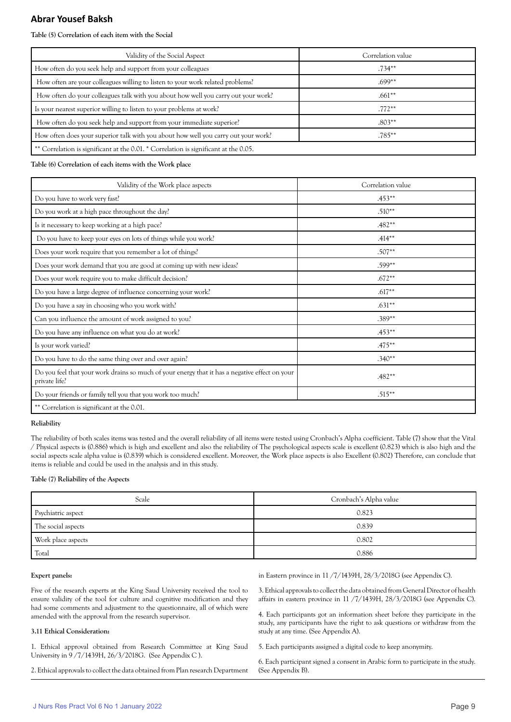**Table (5) Correlation of each item with the Social** 

| Validity of the Social Aspect                                                        | Correlation value |
|--------------------------------------------------------------------------------------|-------------------|
| How often do you seek help and support from your colleagues                          | $.734***$         |
| How often are your colleagues willing to listen to your work related problems?       | $.699**$          |
| How often do your colleagues talk with you about how well you carry out your work?   | $.661**$          |
| Is your nearest superior willing to listen to your problems at work?                 | $.772**$          |
| How often do you seek help and support from your immediate superior?                 | $.803**$          |
| How often does your superior talk with you about how well you carry out your work?   | $.785***$         |
| ** Correlation is significant at the 0.01. * Correlation is significant at the 0.05. |                   |

**Table (6) Correlation of each items with the Work place** 

| Validity of the Work place aspects                                                                              | Correlation value |
|-----------------------------------------------------------------------------------------------------------------|-------------------|
| Do you have to work very fast?                                                                                  | $.453**$          |
| Do you work at a high pace throughout the day?                                                                  | $.510**$          |
| Is it necessary to keep working at a high pace?                                                                 | $.482**$          |
| Do you have to keep your eyes on lots of things while you work?                                                 | $.414***$         |
| Does your work require that you remember a lot of things?                                                       | $.507**$          |
| Does your work demand that you are good at coming up with new ideas?                                            | $.599**$          |
| Does your work require you to make difficult decision?                                                          | $.672**$          |
| Do you have a large degree of influence concerning your work?                                                   | $.617**$          |
| Do you have a say in choosing who you work with?                                                                | $.631**$          |
| Can you influence the amount of work assigned to you?                                                           | $.389**$          |
| Do you have any influence on what you do at work?                                                               | $.453**$          |
| Is your work varied?                                                                                            | $.475***$         |
| Do you have to do the same thing over and over again?                                                           | $.340**$          |
| Do you feel that your work drains so much of your energy that it has a negative effect on your<br>private life? | $.482**$          |
| Do your friends or family tell you that you work too much?                                                      | $.515***$         |
| ** Correlation is significant at the 0.01.                                                                      |                   |

### **Reliability**

The reliability of both scales items was tested and the overall reliability of all items were tested using Cronbach's Alpha coefficient. Table (7) show that the Vital / Physical aspects is (0.886) which is high and excellent and also the reliability of The psychological aspects scale is excellent (0.823) which is also high and the social aspects scale alpha value is (0.839) which is considered excellent. Moreover, the Work place aspects is also Excellent (0.802) Therefore, can conclude that items is reliable and could be used in the analysis and in this study.

### **Table (7) Reliability of the Aspects**

| Scale              | Cronbach's Alpha value |
|--------------------|------------------------|
| Psychiatric aspect | 0.823                  |
| The social aspects | 0.839                  |
| Work place aspects | 0.802                  |
| Total              | 0.886                  |

## **Expert panels:**

Five of the research experts at the King Saud University received the tool to ensure validity of the tool for culture and cognitive modification and they had some comments and adjustment to the questionnaire, all of which were amended with the approval from the research supervisor.

## **3.11 Ethical Consideration:**

1. Ethical approval obtained from Research Committee at King Saud University in 9 /7/1439H, 26/3/2018G. (See Appendix C ).

2. Ethical approvals to collect the data obtained from Plan research Department

in Eastern province in 11 /7/1439H, 28/3/2018G (see Appendix C).

3. Ethical approvals to collect the data obtained from General Director of health affairs in eastern province in 11 /7/1439H, 28/3/2018G (see Appendix C).

4. Each participants got an information sheet before they participate in the study, any participants have the right to ask questions or withdraw from the study at any time. (See Appendix A).

5. Each participants assigned a digital code to keep anonymity.

6. Each participant signed a consent in Arabic form to participate in the study. (See Appendix B).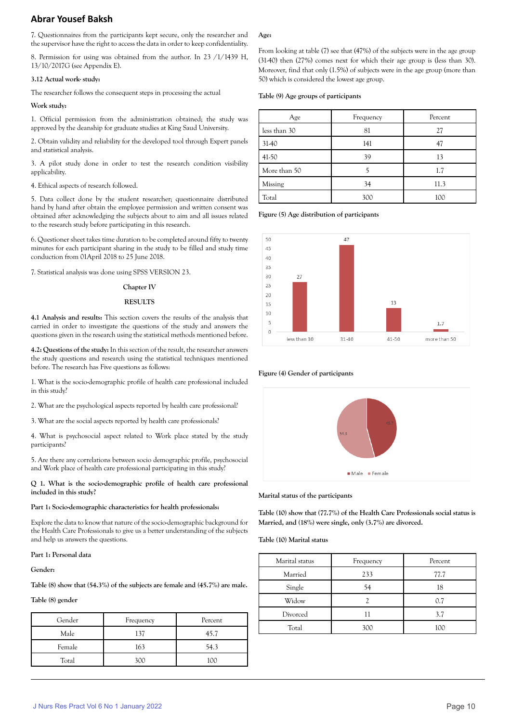7. Questionnaires from the participants kept secure, only the researcher and the supervisor have the right to access the data in order to keep confidentiality.

8. Permission for using was obtained from the author. In 23 /1/1439 H, 13/10/2017G (see Appendix E).

### **3.12 Actual work- study:**

The researcher follows the consequent steps in processing the actual

## **Work study:**

1. Official permission from the administration obtained; the study was approved by the deanship for graduate studies at King Saud University.

2. Obtain validity and reliability for the developed tool through Expert panels and statistical analysis.

3. A pilot study done in order to test the research condition visibility applicability.

4. Ethical aspects of research followed.

5. Data collect done by the student researcher; questionnaire distributed hand by hand after obtain the employee permission and written consent was obtained after acknowledging the subjects about to aim and all issues related to the research study before participating in this research.

6. Questioner sheet takes time duration to be completed around fifty to twenty minutes for each participant sharing in the study to be filled and study time conduction from 01April 2018 to 25 June 2018.

7. Statistical analysis was done using SPSS VERSION 23.

## **Chapter IV**

### **RESULTS**

**4.1 Analysis and results:** This section covers the results of the analysis that carried in order to investigate the questions of the study and answers the questions given in the research using the statistical methods mentioned before.

**4.2: Questions of the study:** In this section of the result, the researcher answers the study questions and research using the statistical techniques mentioned before. The research has Five questions as follows:

1. What is the socio-demographic profile of health care professional included in this study?

2. What are the psychological aspects reported by health care professional?

3. What are the social aspects reported by health care professionals?

4. What is psychosocial aspect related to Work place stated by the study participants?

5. Are there any correlations between socio demographic profile, psychosocial and Work place of health care professional participating in this study?

**Q 1. What is the socio-demographic profile of health care professional included in this study?**

### **Part 1: Socio-demographic characteristics for health professionals:**

Explore the data to know that nature of the socio-demographic background for the Health Care Professionals to give us a better understanding of the subjects and help us answers the questions.

### **Part 1: Personal data**

**Gender:**

**Table (8) show that (54.3%) of the subjects are female and (45.7%) are male.**

## **Table (8) gender**

| Gender | Frequency | Percent |
|--------|-----------|---------|
| Male   | 137       | 45.7    |
| Female | 163       | 54.3    |
| Total  | 300       | 10C     |

#### **Age:**

From looking at table (7) see that (47%) of the subjects were in the age group (31-40) then (27%) comes next for which their age group is (less than 30). Moreover, find that only (1.5%) of subjects were in the age group (more than 50) which is considered the lowest age group.

#### **Table (9) Age groups of participants**

| Age          | Frequency | Percent |
|--------------|-----------|---------|
| less than 30 | 81        | 27      |
| 31-40        | 141       | 47      |
| 41-50        | 39        | 13      |
| More than 50 |           | 1.7     |
| Missing      | 34        | 11.3    |
| Total        | 300       | 100     |

**Figure (5) Age distribution of participants**



### **Figure (4) Gender of participants**



#### **Marital status of the participants**

**Table (10) show that (77.7%) of the Health Care Professionals social status is Married, and (18%) were single, only (3.7%) are divorced.**

### **Table (10) Marital status**

| Marital status | Frequency | Percent |
|----------------|-----------|---------|
| Married        | 233       | 77.7    |
| Single         | 54        | 18      |
| Widow          |           | 0.7     |
| Divorced       |           | 3.7     |
| Total          | 300       | 100     |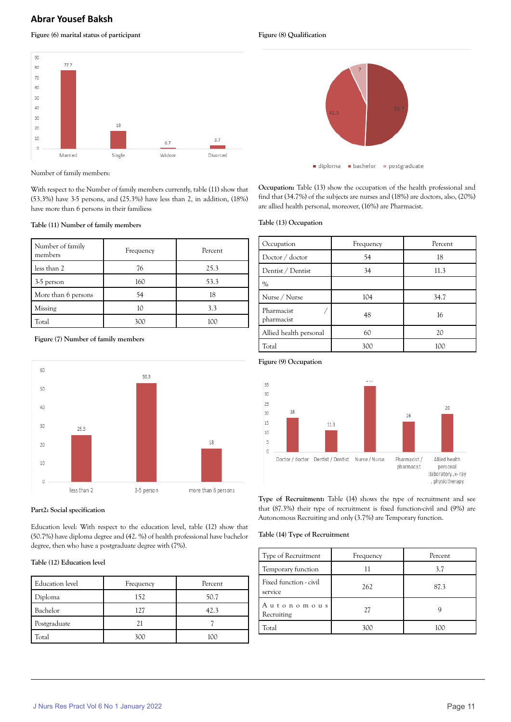**Figure (6) marital status of participant**





Number of family members:

With respect to the Number of family members currently, table (11) show that (53.3%) have 3-5 persons, and (25.3%) have less than 2, in addition, (18%) have more than 6 persons in their familiess

## **Table (11) Number of family members**

| Number of family<br>members | Frequency | Percent |
|-----------------------------|-----------|---------|
| less than 2                 | 76        | 25.3    |
| 3-5 person                  | 160       | 53.3    |
| More than 6 persons         | 54        | 18      |
| Missing                     | 10        | 3.3     |
| Total                       | 300       | 100     |

 **Figure (7) Number of family members**



### **Part2: Social specification**

Education level: With respect to the education level, table (12) show that (50.7%) have diploma degree and (42. %) of health professional have bachelor degree, then who have a postgraduate degree with (7%).

### **Table (12) Education level**

| Education level | Frequency | Percent |
|-----------------|-----------|---------|
| Diploma         | 152       | 50.7    |
| Bachelor        | 127       | 42.3    |
| Postgraduate    |           |         |
| Total           | 300       | 100     |

**Occupation:** Table (13) show the occupation of the health professional and find that (34.7%) of the subjects are nurses and (18%) are doctors, also, (20%) are allied health personal, moreover, (16%) are Pharmacist.

**Table (13) Occupation**

**Figure (9) Occupation**

| Occupation                    | Frequency | Percent |
|-------------------------------|-----------|---------|
| Doctor $\sqrt{\text{doctor}}$ | 54        | 18      |
| Dentist / Dentist             | 34        | 11.3    |
| $\%$                          |           |         |
| Nurse / Nurse                 | 104       | 34.7    |
| Pharmacist<br>pharmacist      | 48        | 16      |
| Allied health personal        | 60        | 20      |
| Total                         | 300       | 100     |



**Type of Recruitment:** Table (14) shows the type of recruitment and see that (87.3%) their type of recruitment is fixed function-civil and (9%) are Autonomous Recruiting and only (3.7%) are Temporary function.

### **Table (14) Type of Recruitment**

| Type of Recruitment               | Frequency | Percent |
|-----------------------------------|-----------|---------|
| Temporary function                |           | 3.7     |
| Fixed function - civil<br>service | 262       | 87.3    |
| Autonomous<br>Recruiting          | 27        |         |
| Total                             | 300       | 100     |

## **Figure (8) Qualification**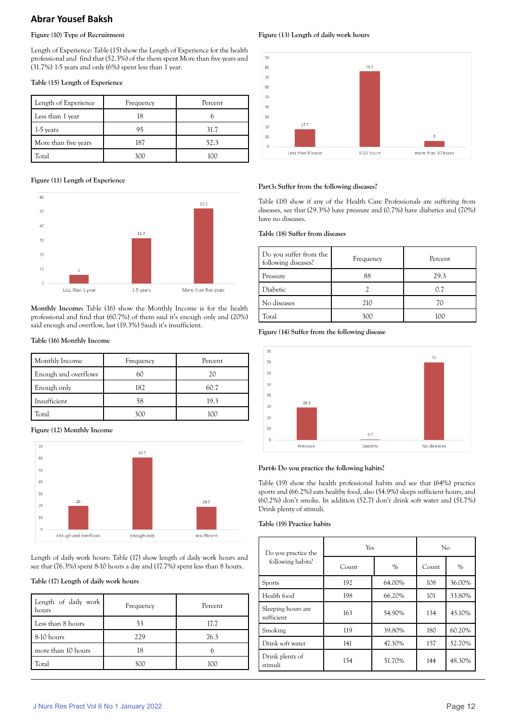## **Figure (10) Type of Recruitment**

Length of Experience: Table (15) show the Length of Experience for the health professional and find that (52.3%) of the them spent More than five years and (31.7%) 1-5 years and only (6%) spent less than 1 year.

## **Table (15) Length of Experience**

| Length of Experience | Frequency | Percent |
|----------------------|-----------|---------|
| Less than 1 year     | 18        |         |
| 1-5 years            | 95        | 31.7    |
| More than five years | 187       | 52.3    |
| Total                | 300       | 100     |

## **Figure (11) Length of Experience**



**Monthly Income:** Table (16) show the Monthly Income is for the health professional and find that (60.7%) of them said it's enough only and (20%) said enough and overflow, last (19.3%) Saudi it's insufficient.

## **Table (16) Monthly Income**

| Monthly Income       | Frequency | Percent |
|----------------------|-----------|---------|
| Enough and overflows | 60        | 2Ο      |
| Enough only          | 182       | 60.7    |
| Insufficient         | 58        | 19.3    |
| Total                | 300       | 100     |

### **Figure (12) Monthly Income**



Length of daily work hours: Table (17) show length of daily work hours and see that (76.3%) spent 8-10 hours a day and (17.7%) spent less than 8 hours.

## **Table (17) Length of daily work hours**

| Length of daily work<br>hours | Frequency | Percent |
|-------------------------------|-----------|---------|
| Less than 8 hours             | 53        | 17.7    |
| 8-10 hours                    | 229       | 76.3    |
| more than 10 hours            |           |         |
| Total                         | 300       | 100     |

## **Figure (13) Length of daily work hours**



## **Part3: Suffer from the following diseases?**

Table (18) show if any of the Health Care Professionals are suffering from diseases, see that (29.3%) have pressure and (0.7%) have diabetics and (70%) have no diseases.

#### **Table (18) Suffer from diseases**

| Do you suffer from the<br>following diseases? | Frequency | Percent |
|-----------------------------------------------|-----------|---------|
| Pressure                                      | 88        | 29.3    |
| Diabetic                                      |           | 0.7     |
| No diseases                                   | 210       | 70      |
| Total                                         | 300       | 100     |

**Figure (14) Suffer from the following disease**



### **Part4: Do you practice the following habits?**

Table (19) show the health professional habits and see that (64%) practice sports and (66.2%) eats healthy food, also (54.9%) sleeps sufficient hours, and (60.2%) don't smoke. In addition (52.7) don't drink soft water and (51.7%) Drink plenty of stimuli.

### **Table (19) Practice habits**

| Do you practice the              | Yes   | No     |       |        |
|----------------------------------|-------|--------|-------|--------|
| following habits?                | Count | $\%$   | Count | $\%$   |
| <b>Sports</b>                    | 192   | 64.00% | 108   | 36.00% |
| Health food                      | 198   | 66.20% | 101   | 33.80% |
| Sleeping hours are<br>sufficient | 163   | 54.90% | 134   | 45.10% |
| Smoking                          | 119   | 39.80% | 180   | 60.20% |
| Drink soft water                 | 141   | 47.30% | 157   | 52.70% |
| Drink plenty of<br>stimuli       | 154   | 51.70% | 144   | 48.30% |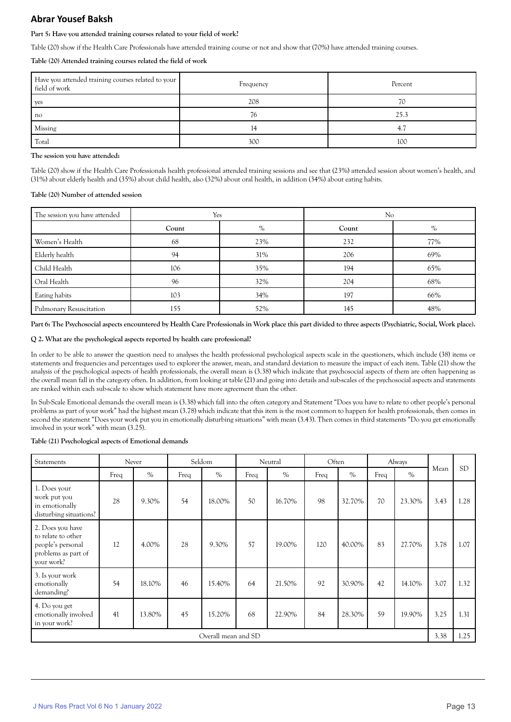## **Part 5: Have you attended training courses related to your field of work?**

Table (20) show if the Health Care Professionals have attended training course or not and show that (70%) have attended training courses.

**Table (20) Attended training courses related the field of work**

| Have you attended training courses related to your<br>field of work | Frequency | Percent |
|---------------------------------------------------------------------|-----------|---------|
| yes                                                                 | 208       | 70      |
| no                                                                  | 76        | 25.3    |
| Missing                                                             |           | 4.7     |
| Total                                                               | 300       | 100     |

**The session you have attended:**

Table (20) show if the Health Care Professionals health professional attended training sessions and see that (23%) attended session about women's health, and (31%) about elderly health and (35%) about child health, also (32%) about oral health, in addition (34%) about eating habits.

## **Table (20) Number of attended session**

| The session you have attended | Yes   |      | No.   |      |
|-------------------------------|-------|------|-------|------|
|                               | Count | $\%$ | Count | $\%$ |
| Women's Health                | 68    | 23%  | 232   | 77%  |
| Elderly health                | 94    | 31%  | 206   | 69%  |
| Child Health                  | 106   | 35%  | 194   | 65%  |
| Oral Health                   | 96    | 32%  | 204   | 68%  |
| Eating habits                 | 103   | 34%  | 197   | 66%  |
| Pulmonary Resuscitation       | 155   | 52%  | 145   | 48%  |

**Part 6: The Psychosocial aspects encountered by Health Care Professionals in Work place this part divided to three aspects (Psychiatric, Social, Work place).**

## **Q 2. What are the psychological aspects reported by health care professional?**

In order to be able to answer the question need to analyses the health professional psychological aspects scale in the questioners, which include (38) items or statements and frequencies and percentages used to explorer the answer, mean, and standard deviation to measure the impact of each item. Table (21) show the analysis of the psychological aspects of health professionals, the overall mean is (3.38) which indicate that psychosocial aspects of them are often happening as the overall mean fall in the category often. In addition, from looking at table (21) and going into details and sub-scales of the psychosocial aspects and statements are ranked within each sub-scale to show which statement have more agreement than the other.

In Sub-Scale Emotional demands the overall mean is (3.38) which fall into the often category and Statement "Does you have to relate to other people's personal problems as part of your work" had the highest mean (3.78) which indicate that this item is the most common to happen for health professionals, then comes in second the statement "Does your work put you in emotionally disturbing situations" with mean (3.43). Then comes in third statements "Do you get emotionally involved in your work" with mean (3.25).

## **Table (21) Psychological aspects of Emotional demands**

| Statements                                                                                       |      | Never  | Seldom |                     | Neutral |        |      |        |      |        |      |      |  |  |  |  |  |  |  |  |  |  |  |  | Often |  | Always |  |  | <b>SD</b> |
|--------------------------------------------------------------------------------------------------|------|--------|--------|---------------------|---------|--------|------|--------|------|--------|------|------|--|--|--|--|--|--|--|--|--|--|--|--|-------|--|--------|--|--|-----------|
|                                                                                                  | Freq | $\%$   | Freq   | $\%$                | Freq    | $\%$   | Freq | $\%$   | Freq | $\%$   | Mean |      |  |  |  |  |  |  |  |  |  |  |  |  |       |  |        |  |  |           |
| 1. Does your<br>work put you<br>in emotionally<br>disturbing situations?                         | 28   | 9.30%  | 54     | 18.00%              | 50      | 16.70% | 98   | 32.70% | 70   | 23.30% | 3.43 | 1.28 |  |  |  |  |  |  |  |  |  |  |  |  |       |  |        |  |  |           |
| 2. Does you have<br>to relate to other<br>people's personal<br>problems as part of<br>your work? | 12   | 4.00%  | 28     | 9.30%               | 57      | 19.00% | 120  | 40.00% | 83   | 27.70% | 3.78 | 1.07 |  |  |  |  |  |  |  |  |  |  |  |  |       |  |        |  |  |           |
| 3. Is your work<br>emotionally<br>demanding?                                                     | 54   | 18.10% | 46     | 15.40%              | 64      | 21.50% | 92   | 30.90% | 42   | 14.10% | 3.07 | 1.32 |  |  |  |  |  |  |  |  |  |  |  |  |       |  |        |  |  |           |
| 4. Do you get<br>emotionally involved<br>in your work?                                           | 41   | 13.80% | 45     | 15.20%              | 68      | 22.90% | 84   | 28.30% | 59   | 19.90% | 3.25 | 1.31 |  |  |  |  |  |  |  |  |  |  |  |  |       |  |        |  |  |           |
|                                                                                                  |      |        |        | Overall mean and SD |         |        |      |        |      |        | 3.38 | 1.25 |  |  |  |  |  |  |  |  |  |  |  |  |       |  |        |  |  |           |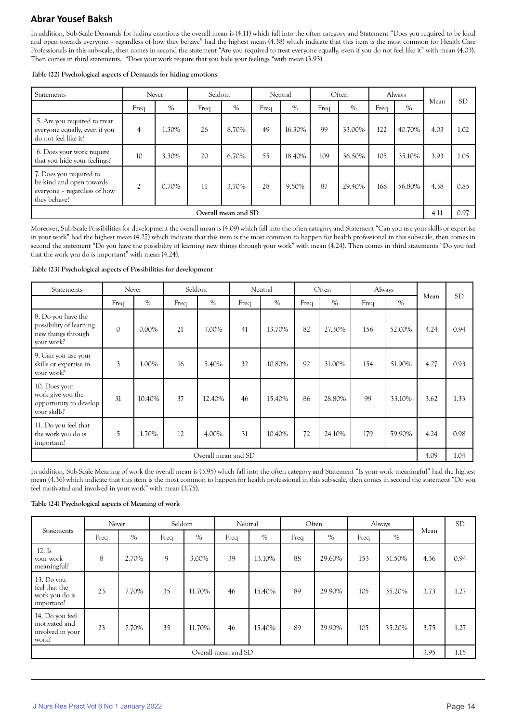In addition, Sub-Scale Demands for hiding emotions the overall mean is (4.11) which fall into the often category and Statement "Does you required to be kind and open towards everyone – regardless of how they behave" had the highest mean (4.38) which indicate that this item is the most common for Health Care Professionals in this sub-scale, then comes in second the statement "Are you required to treat everyone equally, even if you do not feel like it" with mean (4.03). Then comes in third statements, "Does your work require that you hide your feelings "with mean (3.93).

| Table (22) Psychological aspects of Demands for hiding emotions |  |
|-----------------------------------------------------------------|--|
|-----------------------------------------------------------------|--|

| <b>Statements</b>                                                                                   | Never          |       | Seldom |       | Neutral |        |      | Often  |      | Always |      |           |
|-----------------------------------------------------------------------------------------------------|----------------|-------|--------|-------|---------|--------|------|--------|------|--------|------|-----------|
|                                                                                                     | Freq           | $\%$  | Freq   | $\%$  | Freq    | $\%$   | Freq | $\%$   | Freq | $\%$   | Mean | <b>SD</b> |
| 5. Are you required to treat<br>everyone equally, even if you<br>do not feel like it?               | 4              | 1.30% | 26     | 8.70% | 49      | 16.30% | 99   | 33.00% | 122  | 40.70% | 4.03 | 1.02      |
| 6. Does your work require<br>that you hide your feelings?                                           | 10             | 3.30% | 20     | 6.70% | 55      | 18.40% | 109  | 36.50% | 105  | 35.10% | 3.93 | 1.05      |
| 7. Does you required to<br>be kind and open towards<br>everyone – regardless of how<br>they behave? | $\overline{c}$ | 0.70% | 11     | 3.70% | 28      | 9.50%  | 87   | 29.40% | 168  | 56.80% | 4.38 | 0.85      |
| Overall mean and SD                                                                                 |                |       |        |       |         |        |      |        |      |        |      | 0.97      |

Moreover, Sub-Scale Possibilities for development the overall mean is (4.09) which fall into the often category and Statement "Can you use your skills or expertise in your work" had the highest mean (4.27) which indicate that this item is the most common to happen for health professional in this sub-scale, then comes in second the statement "Do you have the possibility of learning new things through your work" with mean (4.24). Then comes in third statements "Do you feel that the work you do is important" with mean (4.24).

## **Table (23) Psychological aspects of Possibilities for development**

| Statements                                                                        |         | Never    | Seldom |        |      | Neutral |      | Often  | Always |        |      | <b>SD</b> |
|-----------------------------------------------------------------------------------|---------|----------|--------|--------|------|---------|------|--------|--------|--------|------|-----------|
|                                                                                   | Freq    | $\%$     | Freq   | $\%$   | Freq | $\%$    | Freq | $\%$   | Freq   | $\%$   | Mean |           |
| 8. Do you have the<br>possibility of learning<br>new things through<br>your work? | $\circ$ | $0.00\%$ | 21     | 7.00%  | 41   | 13.70%  | 82   | 27.30% | 156    | 52.00% | 4.24 | 0.94      |
| 9. Can you use your<br>skills or expertise in<br>your work?                       | 3       | 1.00%    | 16     | 5.40%  | 32   | 10.80%  | 92   | 31.00% | 154    | 51.90% | 4.27 | 0.93      |
| 10. Does your<br>work give you the<br>opportunity to develop<br>your skills?      | 31      | 10.40%   | 37     | 12.40% | 46   | 15.40%  | 86   | 28.80% | 99     | 33.10% | 3.62 | 1.33      |
| 11. Do you feel that<br>the work you do is<br>important?                          | 5       | 1.70%    | 12     | 4.00%  | 31   | 10.40%  | 72   | 24.10% | 179    | 59.90% | 4.24 | 0.98      |
| Overall mean and SD                                                               |         |          |        |        |      |         |      | 4.09   | 1.04   |        |      |           |

In addition, Sub-Scale Meaning of work the overall mean is (3.95) which fall into the often category and Statement "Is your work meaningful" had the highest mean (4.36) which indicate that this item is the most common to happen for health professional in this sub-scale, then comes in second the statement "Do you feel motivated and involved in your work" with mean (3.75).

## **Table (24) Psychological aspects of Meaning of work**

|                                                               | Never |       | Seldom |        | Neutral |        | Often |        |      | Always |      | <b>SD</b> |
|---------------------------------------------------------------|-------|-------|--------|--------|---------|--------|-------|--------|------|--------|------|-----------|
| Statements                                                    | Freq  | $\%$  | Freq   | $\%$   | Freq    | $\%$   | Freq  | $\%$   | Freq | $\%$   | Mean |           |
| 12. Is<br>your work<br>meaningful?                            | 8     | 2.70% | 9      | 3.00%  | 39      | 13.10% | 88    | 29.60% | 153  | 51.50% | 4.36 | 0.94      |
| 13. Do you<br>feel that the<br>work you do is<br>important?   | 23    | 7.70% | 35     | 11.70% | 46      | 15.40% | 89    | 29.90% | 105  | 35.20% | 3.73 | 1.27      |
| 14. Do you feel<br>motivated and<br>involved in your<br>work? | 23    | 7.70% | 35     | 11.70% | 46      | 15.40% | 89    | 29.90% | 105  | 35.20% | 3.75 | 1.27      |
| Overall mean and SD                                           |       |       |        |        |         |        |       |        | 3.95 | 1.15   |      |           |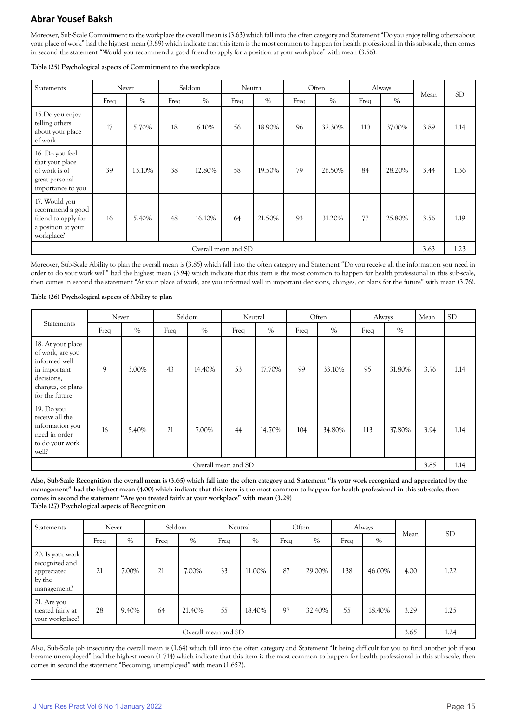Moreover, Sub-Scale Commitment to the workplace the overall mean is (3.63) which fall into the often category and Statement "Do you enjoy telling others about your place of work" had the highest mean (3.89) which indicate that this item is the most common to happen for health professional in this sub-scale, then comes in second the statement "Would you recommend a good friend to apply for a position at your workplace" with mean (3.56).

| Table (25) Psychological aspects of Commitment to the workplace |  |
|-----------------------------------------------------------------|--|
|-----------------------------------------------------------------|--|

| Statements                                                                                   | Never |        |      | Seldom | Neutral |        |      | Often  |      | Always |      |           |
|----------------------------------------------------------------------------------------------|-------|--------|------|--------|---------|--------|------|--------|------|--------|------|-----------|
|                                                                                              | Freq  | $\%$   | Freq | $\%$   | Freq    | $\%$   | Freq | $\%$   | Freq | $\%$   | Mean | <b>SD</b> |
| 15.Do you enjoy<br>telling others<br>about your place<br>of work                             | 17    | 5.70%  | 18   | 6.10%  | 56      | 18.90% | 96   | 32.30% | 110  | 37.00% | 3.89 | 1.14      |
| 16. Do you feel<br>that your place<br>of work is of<br>great personal<br>importance to you   | 39    | 13.10% | 38   | 12.80% | 58      | 19.50% | 79   | 26.50% | 84   | 28.20% | 3.44 | 1.36      |
| 17. Would you<br>recommend a good<br>friend to apply for<br>a position at your<br>workplace? | 16    | 5.40%  | 48   | 16.10% | 64      | 21.50% | 93   | 31.20% | 77   | 25.80% | 3.56 | 1.19      |
| Overall mean and SD                                                                          |       |        |      |        |         |        |      |        |      | 3.63   | 1.23 |           |

Moreover, Sub-Scale Ability to plan the overall mean is (3.85) which fall into the often category and Statement "Do you receive all the information you need in order to do your work well" had the highest mean (3.94) which indicate that this item is the most common to happen for health professional in this sub-scale, then comes in second the statement "At your place of work, are you informed well in important decisions, changes, or plans for the future" with mean (3.76).

## **Table (26) Psychological aspects of Ability to plan**

|                                                                                                                             | Never |       |      | Seldom | Neutral |        |      | Often  | Always |        | Mean | <b>SD</b> |
|-----------------------------------------------------------------------------------------------------------------------------|-------|-------|------|--------|---------|--------|------|--------|--------|--------|------|-----------|
| Statements                                                                                                                  | Freq  | $\%$  | Freq | $\%$   | Freq    | $\%$   | Freq | $\%$   | Freq   | $\%$   |      |           |
| 18. At your place<br>of work, are you<br>informed well<br>in important<br>decisions,<br>changes, or plans<br>for the future | 9     | 3.00% | 43   | 14.40% | 53      | 17.70% | 99   | 33.10% | 95     | 31.80% | 3.76 | 1.14      |
| $19.$ Do you<br>receive all the<br>information you<br>need in order<br>to do your work<br>well?                             | 16    | 5.40% | 21   | 7.00%  | 44      | 14.70% | 104  | 34.80% | 113    | 37.80% | 3.94 | 1.14      |
| Overall mean and SD                                                                                                         |       |       |      |        |         |        |      |        |        | 3.85   | 1.14 |           |

**Also, Sub-Scale Recognition the overall mean is (3.65) which fall into the often category and Statement "Is your work recognized and appreciated by the management" had the highest mean (4.00) which indicate that this item is the most common to happen for health professional in this sub-scale, then comes in second the statement "Are you treated fairly at your workplace" with mean (3.29) Table (27) Psychological aspects of Recognition** 

| Statements                                                                 | Never |       | Seldom |        | Neutral |        | Often |        |      | Always |      |           |
|----------------------------------------------------------------------------|-------|-------|--------|--------|---------|--------|-------|--------|------|--------|------|-----------|
|                                                                            | Freq  | $\%$  | Freq   | $\%$   | Freq    | $\%$   | Freq  | $\%$   | Freq | $\%$   | Mean | <b>SD</b> |
| 20. Is your work<br>recognized and<br>appreciated<br>by the<br>management? | 21    | 7.00% | 21     | 7.00%  | 33      | 11.00% | 87    | 29.00% | 138  | 46.00% | 4.00 | 1.22      |
| 21. Are you<br>treated fairly at<br>your workplace?                        | 28    | 9.40% | 64     | 21.40% | 55      | 18.40% | 97    | 32.40% | 55   | 18.40% | 3.29 | 1.25      |
| Overall mean and SD                                                        |       |       |        |        |         |        |       | 3.65   | 1.24 |        |      |           |

Also, Sub-Scale job insecurity the overall mean is (1.64) which fall into the often category and Statement "It being difficult for you to find another job if you became unemployed" had the highest mean (1.714) which indicate that this item is the most common to happen for health professional in this sub-scale, then comes in second the statement "Becoming, unemployed" with mean (1.652).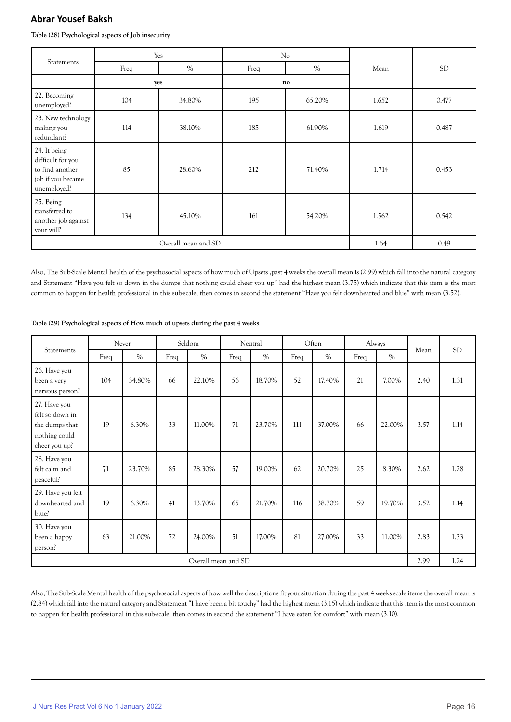**Table (28) Psychological aspects of Job insecurity**

|                                                                                          |      | Yes                 |      | No     |       |           |
|------------------------------------------------------------------------------------------|------|---------------------|------|--------|-------|-----------|
| Statements                                                                               | Freq | $\%$                | Freq | $\%$   | Mean  | <b>SD</b> |
|                                                                                          |      | yes                 |      | no     |       |           |
| 22. Becoming<br>unemployed?                                                              | 104  | 34.80%              | 195  | 65.20% | 1.652 | 0.477     |
| 23. New technology<br>making you<br>redundant?                                           | 114  | 38.10%              | 185  | 61.90% | 1.619 | 0.487     |
| 24. It being<br>difficult for you<br>to find another<br>job if you became<br>unemployed? | 85   | 28.60%              | 212  | 71.40% | 1.714 | 0.453     |
| 25. Being<br>transferred to<br>another job against<br>your will?                         | 134  | 45.10%              | 161  | 54.20% | 1.562 | 0.542     |
|                                                                                          |      | Overall mean and SD |      |        | 1.64  | 0.49      |

Also, The Sub-Scale Mental health of the psychosocial aspects of how much of Upsets ,past 4 weeks the overall mean is (2.99) which fall into the natural category and Statement "Have you felt so down in the dumps that nothing could cheer you up" had the highest mean (3.75) which indicate that this item is the most common to happen for health professional in this sub-scale, then comes in second the statement "Have you felt downhearted and blue" with mean (3.52).

**Table (29) Psychological aspects of How much of upsets during the past 4 weeks** 

|                                                                                     | Never |        |      | Seldom |      | Neutral |      | Often  |      | Always |      |            |
|-------------------------------------------------------------------------------------|-------|--------|------|--------|------|---------|------|--------|------|--------|------|------------|
| Statements                                                                          | Freq  | $\%$   | Freq | $\%$   | Freq | $\%$    | Freq | $\%$   | Freq | $\%$   | Mean | ${\rm SD}$ |
| 26. Have you<br>been a very<br>nervous person?                                      | 104   | 34.80% | 66   | 22.10% | 56   | 18.70%  | 52   | 17.40% | 21   | 7.00%  | 2.40 | 1.31       |
| 27. Have you<br>felt so down in<br>the dumps that<br>nothing could<br>cheer you up? | 19    | 6.30%  | 33   | 11.00% | 71   | 23.70%  | 111  | 37.00% | 66   | 22.00% | 3.57 | 1.14       |
| 28. Have you<br>felt calm and<br>peaceful?                                          | 71    | 23.70% | 85   | 28.30% | 57   | 19.00%  | 62   | 20.70% | 25   | 8.30%  | 2.62 | 1.28       |
| 29. Have you felt<br>downhearted and<br>blue?                                       | 19    | 6.30%  | 41   | 13.70% | 65   | 21.70%  | 116  | 38.70% | 59   | 19.70% | 3.52 | 1.14       |
| 30. Have you<br>been a happy<br>person?                                             | 63    | 21.00% | 72   | 24.00% | 51   | 17.00%  | 81   | 27.00% | 33   | 11.00% | 2.83 | 1.33       |
| Overall mean and SD                                                                 |       |        |      |        |      |         |      | 2.99   | 1.24 |        |      |            |

Also, The Sub-Scale Mental health of the psychosocial aspects of how well the descriptions fit your situation during the past 4 weeks scale items the overall mean is (2.84) which fall into the natural category and Statement "I have been a bit touchy" had the highest mean (3.15) which indicate that this item is the most common to happen for health professional in this sub-scale, then comes in second the statement "I have eaten for comfort" with mean (3.10).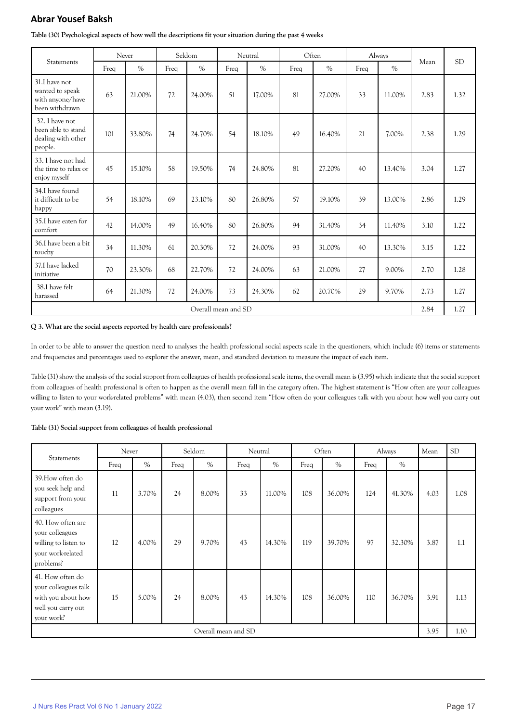**Table (30) Psychological aspects of how well the descriptions fit your situation during the past 4 weeks** 

|                                                                        | Never |        | Seldom |        |      | Neutral | Often |        |      | Always | Mean | <b>SD</b> |
|------------------------------------------------------------------------|-------|--------|--------|--------|------|---------|-------|--------|------|--------|------|-----------|
| Statements                                                             | Freq  | $\%$   | Freq   | $\%$   | Freq | $\%$    | Freq  | $\%$   | Freq | $\%$   |      |           |
| 31.I have not<br>wanted to speak<br>with anyone/have<br>been withdrawn | 63    | 21.00% | 72     | 24.00% | 51   | 17.00%  | 81    | 27.00% | 33   | 11.00% | 2.83 | 1.32      |
| 32. I have not<br>been able to stand<br>dealing with other<br>people.  | 101   | 33.80% | 74     | 24.70% | 54   | 18.10%  | 49    | 16.40% | 21   | 7.00%  | 2.38 | 1.29      |
| 33. I have not had<br>the time to relax or<br>enjoy myself             | 45    | 15.10% | 58     | 19.50% | 74   | 24.80%  | 81    | 27.20% | 40   | 13.40% | 3.04 | 1.27      |
| 34.I have found<br>it difficult to be<br>happy                         | 54    | 18.10% | 69     | 23.10% | 80   | 26.80%  | 57    | 19.10% | 39   | 13.00% | 2.86 | 1.29      |
| 35.I have eaten for<br>comfort                                         | 42    | 14.00% | 49     | 16.40% | 80   | 26.80%  | 94    | 31.40% | 34   | 11.40% | 3.10 | 1.22      |
| 36.I have been a bit<br>touchy                                         | 34    | 11.30% | 61     | 20.30% | 72   | 24.00%  | 93    | 31.00% | 40   | 13.30% | 3.15 | 1.22      |
| 37.I have lacked<br>initiative                                         | 70    | 23.30% | 68     | 22.70% | 72   | 24.00%  | 63    | 21.00% | 27   | 9.00%  | 2.70 | 1.28      |
| 38.I have felt<br>harassed                                             | 64    | 21.30% | 72     | 24.00% | 73   | 24.30%  | 62    | 20.70% | 29   | 9.70%  | 2.73 | 1.27      |
| Overall mean and SD                                                    |       |        |        |        |      |         |       | 2.84   | 1.27 |        |      |           |

## **Q 3. What are the social aspects reported by health care professionals?**

In order to be able to answer the question need to analyses the health professional social aspects scale in the questioners, which include (6) items or statements and frequencies and percentages used to explorer the answer, mean, and standard deviation to measure the impact of each item.

Table (31) show the analysis of the social support from colleagues of health professional scale items, the overall mean is (3.95) which indicate that the social support from colleagues of health professional is often to happen as the overall mean fall in the category often. The highest statement is "How often are your colleagues willing to listen to your work-related problems" with mean (4.03), then second item "How often do your colleagues talk with you about how well you carry out your work" with mean (3.19).

**Table (31) Social support from colleagues of health professional** 

|                                                                                                    | Never |       |      | Seldom | Neutral |        |      | Often  |      | Always | Mean | ${\rm SD}$ |
|----------------------------------------------------------------------------------------------------|-------|-------|------|--------|---------|--------|------|--------|------|--------|------|------------|
| Statements                                                                                         | Freq  | $\%$  | Freq | $\%$   | Freq    | $\%$   | Freq | $\%$   | Freq | $\%$   |      |            |
| 39. How often do<br>you seek help and<br>support from your<br>colleagues                           | 11    | 3.70% | 24   | 8.00%  | 33      | 11.00% | 108  | 36.00% | 124  | 41.30% | 4.03 | 1.08       |
| 40. How often are<br>your colleagues<br>willing to listen to<br>your work-related<br>problems?     | 12    | 4.00% | 29   | 9.70%  | 43      | 14.30% | 119  | 39.70% | 97   | 32.30% | 3.87 | 1.1        |
| 41. How often do<br>your colleagues talk<br>with you about how<br>well you carry out<br>your work? | 15    | 5.00% | 24   | 8.00%  | 43      | 14.30% | 108  | 36.00% | 110  | 36.70% | 3.91 | 1.13       |
| Overall mean and SD                                                                                |       |       |      |        |         |        |      |        | 3.95 | 1.10   |      |            |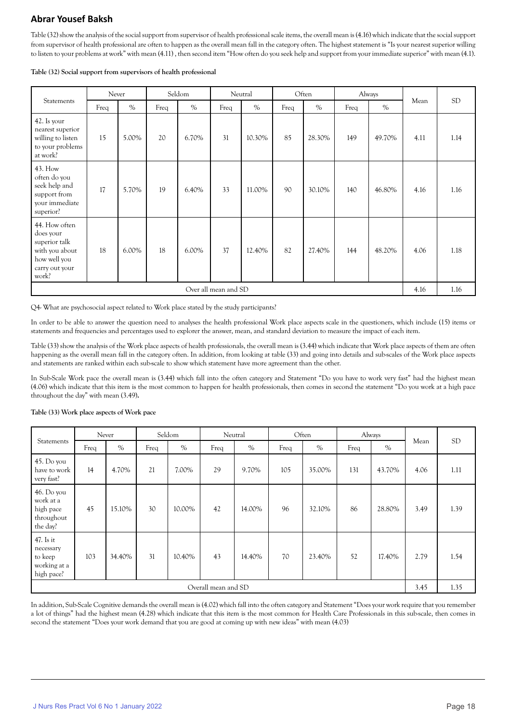Table (32) show the analysis of the social support from supervisor of health professional scale items, the overall mean is (4.16) which indicate that the social support from supervisor of health professional are often to happen as the overall mean fall in the category often. The highest statement is "Is your nearest superior willing to listen to your problems at work" with mean (4.11) , then second item "How often do you seek help and support from your immediate superior" with mean (4.1).

|                                                                                                          | Never |       |      | Seldom |      | Neutral |      | Often  | Always |        |      |           |
|----------------------------------------------------------------------------------------------------------|-------|-------|------|--------|------|---------|------|--------|--------|--------|------|-----------|
| Statements                                                                                               | Freq  | $\%$  | Freq | $\%$   | Freq | $\%$    | Freq | $\%$   | Freq   | $\%$   | Mean | <b>SD</b> |
| 42. Is your<br>nearest superior<br>willing to listen<br>to your problems<br>at work?                     | 15    | 5.00% | 20   | 6.70%  | 31   | 10.30%  | 85   | 28.30% | 149    | 49.70% | 4.11 | 1.14      |
| $43.$ How<br>often do you<br>seek help and<br>support from<br>your immediate<br>superior?                | 17    | 5.70% | 19   | 6.40%  | 33   | 11.00%  | 90   | 30.10% | 140    | 46.80% | 4.16 | 1.16      |
| 44. How often<br>does your<br>superior talk<br>with you about<br>how well you<br>carry out your<br>work? | 18    | 6.00% | 18   | 6.00%  | 37   | 12.40%  | 82   | 27.40% | 144    | 48.20% | 4.06 | 1.18      |
| Over all mean and SD                                                                                     |       |       |      |        |      |         |      | 4.16   | 1.16   |        |      |           |

Q4- What are psychosocial aspect related to Work place stated by the study participants?

In order to be able to answer the question need to analyses the health professional Work place aspects scale in the questioners, which include (15) items or statements and frequencies and percentages used to explorer the answer, mean, and standard deviation to measure the impact of each item.

Table (33) show the analysis of the Work place aspects of health professionals, the overall mean is (3.44) which indicate that Work place aspects of them are often happening as the overall mean fall in the category often. In addition, from looking at table (33) and going into details and sub-scales of the Work place aspects and statements are ranked within each sub-scale to show which statement have more agreement than the other.

In Sub-Scale Work pace the overall mean is (3.44) which fall into the often category and Statement "Do you have to work very fast" had the highest mean (4.06) which indicate that this item is the most common to happen for health professionals, then comes in second the statement "Do you work at a high pace throughout the day" with mean (3.49)**.**

|                                                                 |      | Never  |      | Seldom | Neutral |        |      | Often  |      | Always |      |           |
|-----------------------------------------------------------------|------|--------|------|--------|---------|--------|------|--------|------|--------|------|-----------|
| Statements                                                      | Freq | $\%$   | Freq | $\%$   | Freq    | $\%$   | Freq | $\%$   | Freq | $\%$   | Mean | <b>SD</b> |
| 45. Do you<br>have to work<br>very fast?                        | 14   | 4.70%  | 21   | 7.00%  | 29      | 9.70%  | 105  | 35.00% | 131  | 43.70% | 4.06 | 1.11      |
| 46. Do you<br>work at a<br>high pace<br>throughout<br>the day?  | 45   | 15.10% | 30   | 10.00% | 42      | 14.00% | 96   | 32.10% | 86   | 28.80% | 3.49 | 1.39      |
| 47. Is it<br>necessary<br>to keep<br>working at a<br>high pace? | 103  | 34.40% | 31   | 10.40% | 43      | 14.40% | 70   | 23.40% | 52   | 17.40% | 2.79 | 1.54      |
| Overall mean and SD                                             |      |        |      |        |         |        |      |        |      | 3.45   | 1.35 |           |

## **Table (33) Work place aspects of Work pace**

In addition, Sub-Scale Cognitive demands the overall mean is (4.02) which fall into the often category and Statement "Does your work require that you remember a lot of things" had the highest mean (4.28) which indicate that this item is the most common for Health Care Professionals in this sub-scale, then comes in second the statement "Does your work demand that you are good at coming up with new ideas" with mean (4.03)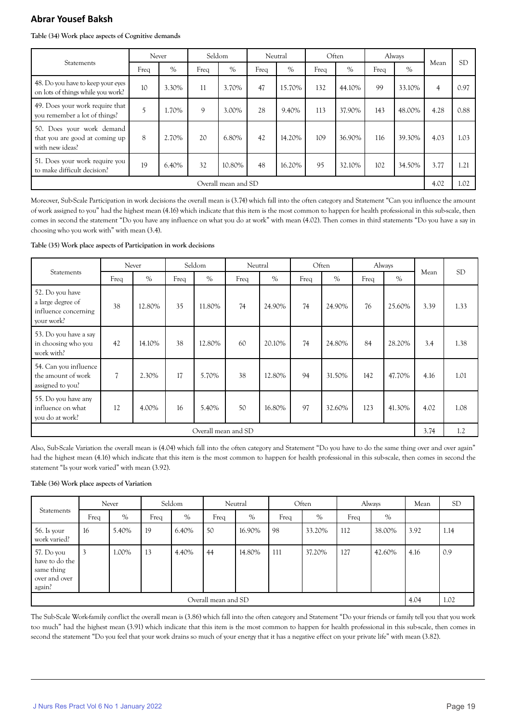## **Table (34) Work place aspects of Cognitive demands**

|                                                                                | Never |       | Seldom |        | Neutral |        |      | Often  |      | Always | Mean |           |
|--------------------------------------------------------------------------------|-------|-------|--------|--------|---------|--------|------|--------|------|--------|------|-----------|
| <b>Statements</b>                                                              | Freq  | $\%$  | Freq   | $\%$   | Freq    | $\%$   | Freq | $\%$   | Freq | $\%$   |      | <b>SD</b> |
| 48. Do you have to keep your eyes<br>on lots of things while you work?         | 10    | 3.30% | 11     | 3.70%  | 47      | 15.70% | 132  | 44.10% | 99   | 33.10% | 4    | 0.97      |
| 49. Does your work require that<br>you remember a lot of things?               | 5     | 1.70% | 9      | 3.00%  | 28      | 9.40%  | 113  | 37.90% | 143  | 48.00% | 4.28 | 0.88      |
| 50. Does your work demand<br>that you are good at coming up<br>with new ideas? | 8     | 2.70% | 20     | 6.80%  | 42      | 14.20% | 109  | 36.90% | 116  | 39.30% | 4.03 | 1.03      |
| 51. Does your work require you<br>to make difficult decision?                  | 19    | 6.40% | 32     | 10.80% | 48      | 16.20% | 95   | 32.10% | 102  | 34.50% | 3.77 | 1.21      |
| Overall mean and SD                                                            |       |       |        |        |         |        |      |        | 4.02 | 1.02   |      |           |

Moreover, Sub-Scale Participation in work decisions the overall mean is (3.74) which fall into the often category and Statement "Can you influence the amount of work assigned to you" had the highest mean (4.16) which indicate that this item is the most common to happen for health professional in this sub-scale, then comes in second the statement "Do you have any influence on what you do at work" with mean (4.02). Then comes in third statements "Do you have a say in choosing who you work with" with mean (3.4).

**Table (35) Work place aspects of Participation in work decisions** 

|                                                                            |      | Never  |      | Seldom              |      | Neutral |      | Often  |      | Always |      | <b>SD</b> |
|----------------------------------------------------------------------------|------|--------|------|---------------------|------|---------|------|--------|------|--------|------|-----------|
| <b>Statements</b>                                                          | Freq | $\%$   | Freq | $\%$                | Freq | $\%$    | Freq | $\%$   | Freq | $\%$   | Mean |           |
| 52. Do you have<br>a large degree of<br>influence concerning<br>your work? | 38   | 12.80% | 35   | 11.80%              | 74   | 24.90%  | 74   | 24.90% | 76   | 25.60% | 3.39 | 1.33      |
| 53. Do you have a say<br>in choosing who you<br>work with?                 | 42   | 14.10% | 38   | 12.80%              | 60   | 20.10%  | 74   | 24.80% | 84   | 28.20% | 3.4  | 1.38      |
| 54. Can you influence<br>the amount of work<br>assigned to you?            | 7    | 2.30%  | 17   | 5.70%               | 38   | 12.80%  | 94   | 31.50% | 142  | 47.70% | 4.16 | 1.01      |
| 55. Do you have any<br>influence on what<br>you do at work?                | 12   | 4.00%  | 16   | 5.40%               | 50   | 16.80%  | 97   | 32.60% | 123  | 41.30% | 4.02 | 1.08      |
|                                                                            |      |        |      | Overall mean and SD |      |         |      |        |      |        | 3.74 | 1.2       |

Also, Sub-Scale Variation the overall mean is (4.04) which fall into the often category and Statement "Do you have to do the same thing over and over again" had the highest mean (4.16) which indicate that this item is the most common to happen for health professional in this sub-scale, then comes in second the statement "Is your work varied" with mean (3.92).

## **Table (36) Work place aspects of Variation**

|                                                                       | Never |       | Seldom |       | Neutral |        | Often |        | Always |        | Mean | <b>SD</b> |
|-----------------------------------------------------------------------|-------|-------|--------|-------|---------|--------|-------|--------|--------|--------|------|-----------|
| <b>Statements</b>                                                     | Freq  | $\%$  | Freq   | $\%$  | Freq    | $\%$   | Freq  | $\%$   | Freq   | $\%$   |      |           |
| 56. Is your<br>work varied?                                           | 16    | 5.40% | 19     | 6.40% | 50      | 16.90% | 98    | 33.20% | 112    | 38.00% | 3.92 | 1.14      |
| 57. Do you<br>have to do the<br>same thing<br>over and over<br>again? |       | 1.00% | 13     | 4.40% | 44      | 14.80% | 111   | 37.20% | 127    | 42.60% | 4.16 | 0.9       |
| Overall mean and SD                                                   |       |       |        |       |         |        |       |        | 4.04   | 1.02   |      |           |

The Sub-Scale Work-family conflict the overall mean is (3.86) which fall into the often category and Statement "Do your friends or family tell you that you work too much" had the highest mean (3.91) which indicate that this item is the most common to happen for health professional in this sub-scale, then comes in second the statement "Do you feel that your work drains so much of your energy that it has a negative effect on your private life" with mean (3.82).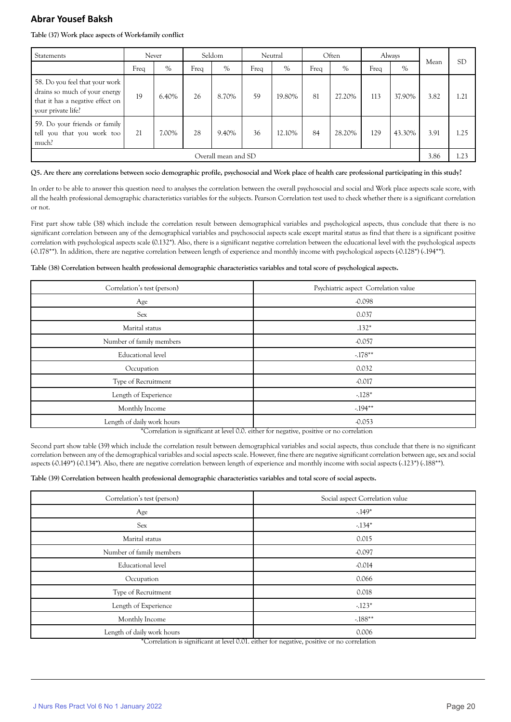## **Table (37) Work place aspects of Work-family conflict**

| <b>Statements</b>                                                                                                         |      | Never |      | Seldom |      | Neutral |      | Often  |      | Always |      |           |
|---------------------------------------------------------------------------------------------------------------------------|------|-------|------|--------|------|---------|------|--------|------|--------|------|-----------|
|                                                                                                                           | Freq | $\%$  | Freq | $\%$   | Freq | $\%$    | Freq | $\%$   | Freq | $\%$   | Mean | <b>SD</b> |
| 58. Do you feel that your work<br>drains so much of your energy<br>that it has a negative effect on<br>your private life? | 19   | 6.40% | 26   | 8.70%  | 59   | 19.80%  | 81   | 27.20% | 113  | 37.90% | 3.82 | 1.21      |
| 59. Do your friends or family<br>tell you that you work too<br>much?                                                      | 21   | 7.00% | 28   | 9.40%  | 36   | 12.10%  | 84   | 28.20% | 129  | 43.30% | 3.91 | 1.25      |
| Overall mean and SD                                                                                                       |      |       |      |        |      |         |      |        |      | 3.86   | 1.23 |           |

## **Q5. Are there any correlations between socio demographic profile, psychosocial and Work place of health care professional participating in this study?**

In order to be able to answer this question need to analyses the correlation between the overall psychosocial and social and Work place aspects scale score, with all the health professional demographic characteristics variables for the subjects. Pearson Correlation test used to check whether there is a significant correlation or not.

First part show table (38) which include the correlation result between demographical variables and psychological aspects, thus conclude that there is no significant correlation between any of the demographical variables and psychosocial aspects scale except marital status as find that there is a significant positive correlation with psychological aspects scale (0.132\*). Also, there is a significant negative correlation between the educational level with the psychological aspects (-0.178\*\*). In addition, there are negative correlation between length of experience and monthly income with psychological aspects (-0.128\*) (-194\*\*).

## **Table (38) Correlation between health professional demographic characteristics variables and total score of psychological aspects.**

| Correlation's test (person)                            | Psychiatric aspect Correlation value |
|--------------------------------------------------------|--------------------------------------|
| Age                                                    | $-0.098$                             |
| Sex                                                    | 0.037                                |
| Marital status                                         | $.132*$                              |
| Number of family members                               | $-0.057$                             |
| <b>Educational</b> level                               | $-178**$                             |
| Occupation                                             | 0.032                                |
| Type of Recruitment                                    | $-0.017$                             |
| Length of Experience                                   | $-.128*$                             |
| Monthly Income                                         | $-194**$                             |
| Length of daily work hours<br>$\overline{\phantom{a}}$ | $-0.053$                             |

\*Correlation is significant at level 0.0. either for negative, positive or no correlation

Second part show table (39) which include the correlation result between demographical variables and social aspects, thus conclude that there is no significant correlation between any of the demographical variables and social aspects scale. However, fine there are negative significant correlation between age, sex and social aspects (-0.149\*) (-0.134\*). Also, there are negative correlation between length of experience and monthly income with social aspects (-.123\*) (-.188\*\*).

## **Table (39) Correlation between health professional demographic characteristics variables and total score of social aspects.**

| Correlation's test (person)                                                                                                  | Social aspect Correlation value |
|------------------------------------------------------------------------------------------------------------------------------|---------------------------------|
| Age                                                                                                                          | $-149*$                         |
| Sex                                                                                                                          | $-134*$                         |
| Marital status                                                                                                               | 0.015                           |
| Number of family members                                                                                                     | $-0.097$                        |
| <b>Educational</b> level                                                                                                     | $-0.014$                        |
| Occupation                                                                                                                   | 0.066                           |
| Type of Recruitment                                                                                                          | 0.018                           |
| Length of Experience                                                                                                         | $-123*$                         |
| Monthly Income                                                                                                               | $-188**$                        |
| Length of daily work hours<br>$\sim$ $\sim$<br>$\overline{1}$ $\overline{0}$ $\overline{0}$ $\overline{1}$<br>$\cdot$ $\sim$ | 0.006<br>$\cdot$ $\cdot$        |

\*Correlation is significant at level 0.01. either for negative, positive or no correlation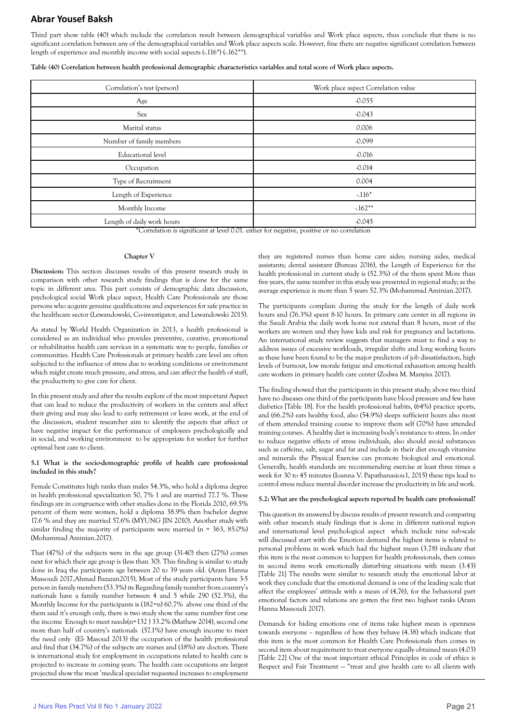Third part show table (40) which include the correlation result between demographical variables and Work place aspects, thus conclude that there is no significant correlation between any of the demographical variables and Work place aspects scale. However, fine there are negative significant correlation between length of experience and monthly income with social aspects (-.116\*) (-.162\*\*).

**Table (40) Correlation between health professional demographic characteristics variables and total score of Work place aspects.**

| Correlation's test (person)                                                     | Work place aspect Correlation value                       |
|---------------------------------------------------------------------------------|-----------------------------------------------------------|
| Age                                                                             | $-0.055$                                                  |
| Sex                                                                             | $-0.043$                                                  |
| Marital status                                                                  | 0.006                                                     |
| Number of family members                                                        | $-0.099$                                                  |
| <b>Educational</b> level                                                        | $-0.016$                                                  |
| Occupation                                                                      | $-0.014$                                                  |
| Type of Recruitment                                                             | 0.004                                                     |
| Length of Experience                                                            | $-116*$                                                   |
| Monthly Income                                                                  | $-162**$                                                  |
| Length of daily work hours<br>$* \cap$ 1. $* \rightarrow \cdots$<br>$\sqrt{21}$ | $-0.045$<br>$\cdot$ . $\cdot$<br>$\overline{\phantom{a}}$ |

\*Correlation is significant at level 0.01. either for negative, positive or no correlation

### **Chapter V**

**Discussion:** This section discusses results of this present research study in comparison with other research study findings that is done for the same topic in different area. This part consists of demographic data discussion, psychological social Work place aspect, Health Care Professionals are those persons who acquire genuine qualifications and experiences for safe practice in the healthcare sector (Lewandowski, Co-investigator, and Lewandowski 2015).

As stated by World Health Organization in 2013, a health professional is considered as an individual who provides preventive, curative, promotional or rehabilitative health care services in a systematic way to people, families or communities. Health Care Professionals at primary health care level are often subjected to the influence of stress due to working conditions or environment which might create much pressure, and stress, and can affect the health of staff, the productivity to give care for client.

In this present study and after the results explore of the most important Aspect that can lead to reduce the productivity of workers in the centers and affect their giving and may also lead to early retirement or leave work, at the end of the discussion, student researcher aim to identify the aspects that affect or have negative impact for the performance of employees psychologically and in social, and working environment to be appropriate for worker for further optimal best care to client.

### **5.1 What is the socio-demographic profile of health care professional included in this study?**

Female Constitutes high ranks than males 54.3%, who hold a diploma degree in health professional specialization 50, 7% 1 and are married 77.7 %. These findings are in congruence with other studies done in the Florida 2010, 69.5% percent of them were women, hold a diploma 38.9% then bachelor degree 17.6 % and they are married 57.6% (MYUNG JIN 2010). Another study with similar finding the majority of participants were married (n = 363, 85.0%) (Mohammad Aminian.2017).

That (47%) of the subjects were in the age group (31-40) then (27%) comes next for which their age group is (less than 30). This finding is similar to study done in Iraq the participants age between 20 to 39 years old. (Aram Hanna Massoudi 2017,Ahmad Bazazan2015), Most of the study participants have 3-5 person in family members (53.3%) its Regarding family number from country's nationals have a family number between 4 and 5 while 290 (52.3%), the Monthly Income for the participants is (182=n) 60.7% above one third of the them said it's enough only, there is two study show the same number first one the income Enough to meet needs(n=132 ) 33.2% (Mathew 2014), second one more than half of country's nationals (57.1%) have enough income to meet the need only (El- Masoud 2013) the occupation of the health professional and find that (34.7%) of the subjects are nurses and (18%) are doctors. There is international study for employment in occupations related to health care is projected to increase in coming years. The health care occupations are largest projected show the most 'medical specialist requested increases to employment

they are registered nurses than home care aides; nursing aides, medical assistants; dental assistant (Bureau 2016), the Length of Experience for the health professional in current study is (52.3%) of the them spent More than five years, the same number in this study was presented in regional study; as the average experience is more than 5 years 52.3% (Mohammad Aminian.2017).

The participants complain during the study for the length of daily work hours and (76.3%) spent 8-10 hours. In primary care center in all regions in the Saudi Arabia the daily work horse not extend than 8 hours, most of the workers are women and they have kids and risk for pregnancy and lactations. An international study review suggests that managers must to find a way to address issues of excessive workloads, irregular shifts and long working hours as these have been found to be the major predictors of job dissatisfaction, high levels of burnout, low morale fatigue and emotional exhaustion among health care workers in primary health care center (Zodwa M. Manyisa 2017).

The finding showed that the participants in this present study; above two third have no diseases one third of the participants have blood pressure and few have diabetics [Table 18]. For the health professional habits, (64%) practice sports, and (66.2%) eats healthy food, also (54.9%) sleeps sufficient hours also most of them attended training course to improve them self (70%) have attended training courses. A healthy diet is increasing body's resistance to stress. In order to reduce negative effects of stress individuals, also should avoid substances such as caffeine, salt, sugar and fat and include in their diet enough vitamins and minerals the Physical Exercise can promote biological and emotional. Generally, health standards are recommending exercise at least three times a week for 30 to 45 minutes (Ioanna V. Papathanasiou1, 2015) these tips lead to control stress reduce mental disorder increase the productivity in life and work.

### **5.2: What are the psychological aspects reported by health care professional?**

This question its answered by discuss results of present research and comparing with other research study findings that is done in different national region and international level psychological aspect which include nine sub-scale will discussed start with the Emotion demand the highest items is related to personal problems in work which had the highest mean (3.78) indicate that this item is the most common to happen for health professionals, then comes in second items work emotionally disturbing situations with mean (3.43) [Table 21] The results were similar to research study the emotional labor at work they conclude that the emotional demand is one of the leading scale that affect the employees' attitude with a mean of (4,76), for the behavioral part emotional factors and relations are gotten the first two highest ranks (Aram Hanna Massoudi 2017).

Demands for hiding emotions one of items take highest mean is openness towards everyone – regardless of how they behave (4.38) which indicate that this item is the most common for Health Care Professionals then comes in second item about requirement to treat everyone equally obtained mean (4.03) [Table 22] One of the most important ethical Principles in code of ethics is Respect and Fair Treatment — "treat and give health care to all clients with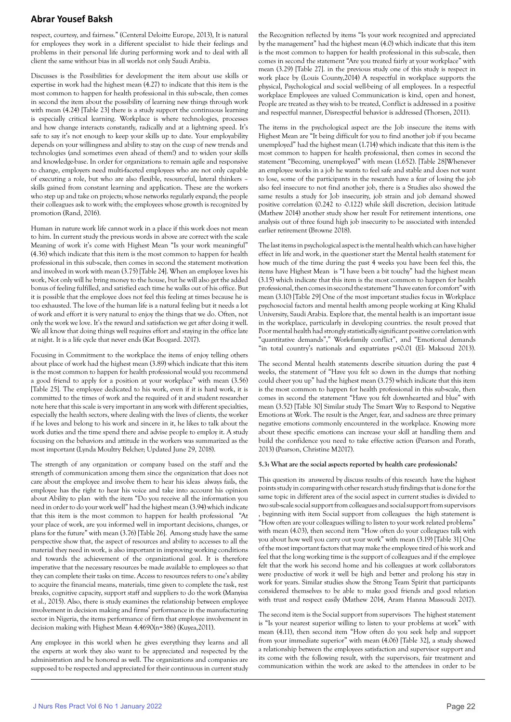respect, courtesy, and fairness." (Centeral Deloitte Europe, 2013), It is natural for employees they work in a different specialist to hide their feelings and problems in their personal life during performing work and to deal with all client the same without bias in all worlds not only Saudi Arabia.

Discusses is the Possibilities for development the item about use skills or expertise in work had the highest mean (4.27) to indicate that this item is the most common to happen for health professional in this sub-scale, then comes in second the item about the possibility of learning new things through work with mean (4.24) [Table 23] there is a study support the continuous learning is especially critical learning. Workplace is where technologies, processes and how change interacts constantly, radically and at a lightning speed. It's safe to say it's not enough to keep your skills up to date. Your employability depends on your willingness and ability to stay on the cusp of new trends and technologies (and sometimes even ahead of them!) and to widen your skills and knowledge-base. In order for organizations to remain agile and responsive to change, employers need multi-faceted employees who are not only capable of executing a role, but who are also flexible, resourceful, lateral thinkers – skills gained from constant learning and application. These are the workers who step up and take on projects; whose networks regularly expand; the people their colleagues ask to work with; the employees whose growth is recognized by promotion (Rand, 2016).

Human in nature work life cannot work in a place if this work does not mean to him. In current study the previous words in above are correct with the scale Meaning of work it's come with Highest Mean "Is your work meaningful" (4.36) which indicate that this item is the most common to happen for health professional in this sub-scale, then comes in second the statement motivation and involved in work with mean (3.75) [Table 24]. When an employee loves his work, Not only will he bring money to the house, but he will also get the added bonus of feeling fulfilled, and satisfied each time he walks out of his office. But it is possible that the employee does not feel this feeling at times because he is too exhausted. The love of the human life is a natural feeling but it needs a lot of work and effort it is very natural to enjoy the things that we do. Often, not only the work we love. It's the reward and satisfaction we get after doing it well. We all know that doing things well requires effort and staying in the office late at night. It is a life cycle that never ends (Kat Boogard. 2017).

Focusing in Commitment to the workplace the items of enjoy telling others about place of work had the highest mean (3.89) which indicate that this item is the most common to happen for health professional would you recommend a good friend to apply for a position at your workplace" with mean (3.56) [Table 25]. The employee dedicated to his work, even if it is hard work, it is committed to the times of work and the required of it and student researcher note here that this scale is very important in any work with different specialties, especially the health sectors, where dealing with the lives of clients, the worker if he loves and belong to his work and sincere in it, he likes to talk about the work duties and the time spend there and advise people to employ it. A study focusing on the behaviors and attitude in the workers was summarized as the most important (Lynda Moultry Belcher; Updated June 29, 2018).

The strength of any organization or company based on the staff and the strength of communication among them since the organization that does not care about the employee and involve them to hear his ideas always fails, the employee has the right to hear his voice and take into account his opinion about Ability to plan with the item "Do you receive all the information you need in order to do your work well" had the highest mean (3.94) which indicate that this item is the most common to happen for health professional "At your place of work, are you informed well in important decisions, changes, or plans for the future" with mean (3.76) [Table 26]. Among study have the same perspective show that, the aspect of resources and ability to accesses to all the material they need in work, is also important in improving working conditions and towards the achievement of the organizational goal. It is therefore imperative that the necessary resources be made available to employees so that they can complete their tasks on time. Access to resources refers to one's ability to acquire the financial means, materials, time given to complete the task, rest breaks, cognitive capacity, support staff and suppliers to do the work (Manyisa et al., 2015). Also, there is study examines the relationship between employee involvement in decision making and firms' performance in the manufacturing sector in Nigeria, the items performance of firm that employee involvement in decision making with Highest Mean 4.4690(n=386) (Kuyea,2011).

Any employee in this world when he gives everything they learns and all the experts at work they also want to be appreciated and respected by the administration and be honored as well. The organizations and companies are supposed to be respected and appreciated for their continuous in current study

the Recognition reflected by items "Is your work recognized and appreciated by the management" had the highest mean (4.0) which indicate that this item is the most common to happen for health professional in this sub-scale, then comes in second the statement "Are you treated fairly at your workplace" with mean (3.29) [Table 27]. in the previous study one of this study is respect in work place by (Louis County,2014) A respectful in workplace supports the physical, Psychological and social well-being of all employees. In a respectful workplace Employees are valued Communication is kind, open and honest, People are treated as they wish to be treated, Conflict is addressed in a positive and respectful manner, Disrespectful behavior is addressed (Thorsen, 2011).

The items in the psychological aspect are the Job insecure the items with Highest Mean are "It being difficult for you to find another job if you became unemployed" had the highest mean (1.714) which indicate that this item is the most common to happen for health professional, then comes in second the statement "Becoming, unemployed" with mean (1.652). [Table 28]Whenever an employee works in a job he wants to feel safe and stable and does not want to lose, some of the participants in the research have a fear of losing the job also feel insecure to not find another job, there is a Studies also showed the same results a study for Job insecurity, job strain and job demand showed positive correlation (0.242 to -0.122) while skill discretion, decision latitude (Mathew 2014) another study show her result For retirement intentions, one analysis out of three found high job insecurity to be associated with intended earlier retirement (Browne 2018).

The last items in psychological aspect is the mental health which can have higher effect in life and work, in the questioner start the Mental health statement for how much of the time during the past 4 weeks you have been feel this, the items have Highest Mean is "I have been a bit touchy" had the highest mean (3.15) which indicate that this item is the most common to happen for health professional, then comes in second the statement "I have eaten for comfort" with mean (3.10) [Table 29] One of the most important studies focus in Workplace psychosocial factors and mental health among people working at King Khalid University, Saudi Arabia. Explore that, the mental health is an important issue in the workplace, particularly in developing countries. the result proved that Poor mental health had strongly statistically significant positive correlation with "quantitative demands"," Work-family conflict", and "Emotional demands "in total country's nationals and expatriates p<0.01 (El- Maksoud 2013).

The second Mental health statements describe situation during the past 4 weeks, the statement of "Have you felt so down in the dumps that nothing could cheer you up" had the highest mean (3.75) which indicate that this item is the most common to happen for health professional in this sub-scale, then comes in second the statement "Have you felt downhearted and blue" with mean (3.52) [Table 30] Similar study The Smart Way to Respond to Negative Emotions at Work. The result is the Anger, fear, and sadness are three primary negative emotions commonly encountered in the workplace. Knowing more about these specific emotions can increase your skill at handling them and build the confidence you need to take effective action (Pearson and Porath, 2013) (Pearson, Christine M2017).

### **5.3: What are the social aspects reported by health care professionals?**

This question its answered by discuss results of this research have the highest points study in comparing with other research study findings that is done for the same topic in different area of the social aspect in current studies is divided to two sub-scale social support from colleagues and social support from supervisors , beginning with item Social support from colleagues the high statement is "How often are your colleagues willing to listen to your work related problems" with mean (4.03), then second item "How often do your colleagues talk with you about how well you carry out your work" with mean (3.19) [Table 31] One of the most important factors that may make the employee tired of his work and feel that the long working time is the support of colleagues and if the employee felt that the work his second home and his colleagues at work collaborators were productive of work it well be high and better and prolong his stay in work for years. Similar studies show the Strong Team Spirit that participants considered themselves to be able to make good friends and good relation with trust and respect easily (Mathew 2014, Aram Hanna Massoudi 2017).

The second item is the Social support from supervisors The highest statement is "Is your nearest superior willing to listen to your problems at work" with mean (4.11), then second item "How often do you seek help and support from your immediate superior" with mean (4.06) [Table 32], a study showed a relationship between the employees satisfaction and supervisor support and its come with the following result, with the supervisors, fair treatment and communication within the work are asked to the attendees in order to be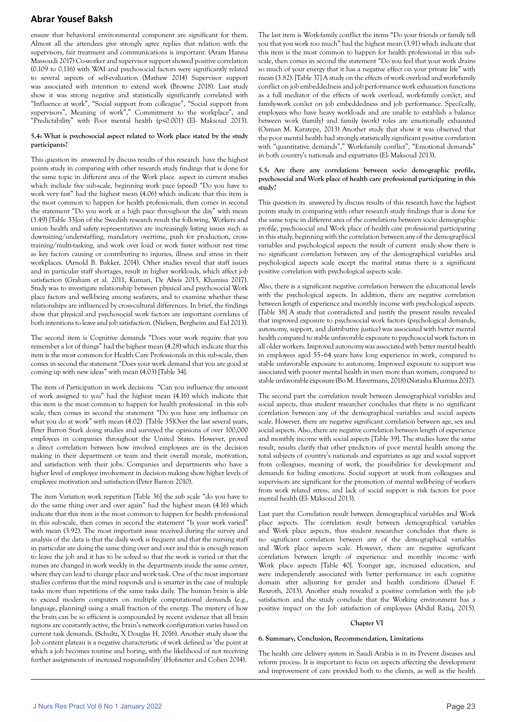ensure that behavioral environmental component are significant for them. Almost all the attendees give strongly agree replies that relation with the supervisors, fair treatment and communications is important. (Aram Hanna Massoudi 2017) Co-worker and supervisor support showed positive correlation (0.109 to 0.116) with WAI and psychosocial factors were significantly related to several aspects of self-evaluation (Mathew 2014) Supervisor support was associated with intention to extend work (Browne 2018). Last study show it was strong negative and statistically significantly correlated with "Influence at work", "Social support from colleague", "Social support from supervisors", Meaning of work"," Commitment to the workplace", and "Predictability" with Poor mental health (p<0.001) (El- Maksoud 2013).

## **5.4: What is psychosocial aspect related to Work place stated by the study participants?**

This question its answered by discuss results of this research have the highest points study in comparing with other research study findings that is done for the same topic in different area of the Work place aspect in current studies which include five sub-scale, beginning work pace (speed) "Do you have to work very fast" had the highest mean (4.06) which indicate that this item is the most common to happen for health professionals, then comes in second the statement "Do you work at a high pace throughout the day" with mean (3.49) [Table 33]on of the Swedish research result the following, Workers and union health and safety representatives are increasingly listing issues such as downsizing/understaffing, mandatory overtime, push for production, crosstraining/multi-tasking, and work over load or work faster without rest time as key factors causing or contributing to injuries, illness and stress in their workplaces. (Arnold B. Bakker, 2014). Other studies reveal that staff issues and in particular staff shortages, result in higher workloads, which affect job satisfaction (Graham et al. 2011, Kumari, De Alwis 2015, Khamisa 2017). Study was to investigate relationship between physical and psychosocial Work place factors and well-being among seafarers, and to examine whether these relationships are influenced by cross-cultural differences. In brief, the findings show that physical and psychosocial work factors are important correlates of both intentions to leave and job satisfaction. (Nielsen, Bergheim and Eid 2013).

The second item is Cognitive demands "Does your work require that you remember a lot of things" had the highest mean (4.28) which indicate that this item is the most common for Health Care Professionals in this sub-scale, then comes in second the statement "Does your work demand that you are good at coming up with new ideas" with mean (4.03) [Table 34].

The item of Participation in work decisions "Can you influence the amount of work assigned to you" had the highest mean (4.16) which indicate that this item is the most common to happen for health professional in this subscale, then comes in second the statement "Do you have any influence on what you do at work" with mean (4.02) [Table 35]Over the last several years, Peter Barron Stark doing studies and surveyed the opinions of over 100,000 employees in companies throughout the United States. However, proved a direct correlation between how involved employees are in the decision making in their department or team and their overall morale, motivation, and satisfaction with their jobs. Companies and departments who have a higher level of employee involvement in decision making show higher levels of employee motivation and satisfaction (Peter Barron 2010).

The item Variation work repetition [Table 36] the sub scale "do you have to do the same thing over and over again" had the highest mean (4.16) which indicate that this item is the most common to happen for health professional in this sub-scale, then comes in second the statement "Is your work varied" with mean (3.92). The most important issue received during the survey and analysis of the data is that the daily work is frequent and that the nursing staff in particular are doing the same thing over and over and this is enough reason to leave the job and it has to be solved so that the work is varied or that the nurses are changed in work weekly in the departments inside the same center, where they can lead to change place and work task. One of the most important studies confirms that the mind responds and is smarter in the case of multiple tasks more than repetitions of the same tasks daily. The human brain is able to exceed modern computers on multiple computational demands (e.g., language, planning) using a small fraction of the energy. The mystery of how the brain can be so efficient is compounded by recent evidence that all brain regions are constantly active, the brain's network configuration varies based on current task demands. (Schultz, X Douglas H, 2016). Another study show the Job content plateau is a negative characteristic of work defined as 'the point at which a job becomes routine and boring, with the likelihood of not receiving further assignments of increased responsibility' (Hofstetter and Cohen 2014).

The last item is Work-family conflict the items "Do your friends or family tell you that you work too much" had the highest mean (3.91) which indicate that this item is the most common to happen for health professional in this subscale, then comes in second the statement "Do you feel that your work drains so much of your energy that it has a negative effect on your private life" with mean (3.82). [Table 37] A study on the effects of work overload and work-family conflict on job embeddedness and job performance work exhaustion functions as a full mediator of the effects of work overload, work-family conflict, and family-work conflict on job embeddedness and job performance. Specifically, employees who have heavy workloads and are unable to establish a balance between work (family) and family (work) roles are emotionally exhausted (Osman M. Karatepe, 2013) Another study that show it was observed that the poor mental health had strongly statistically significant positive correlation with "quantitative demands"," Work-family conflict", "Emotional demands" in both country's nationals and expatriates (El- Maksoud 2013).

### **5.5: Are there any correlations between socio demographic profile, psychosocial and Work place of health care professional participating in this study?**

This question its answered by discuss results of this research have the highest points study in comparing with other research study findings that is done for the same topic in different area of the correlations between socio demographic profile, psychosocial and Work place of health care professional participating in this study, beginning with the correlation between any of the demographical variables and psychological aspects the result of current study show there is no significant correlation between any of the demographical variables and psychological aspects scale except the marital status there is a significant positive correlation with psychological aspects scale.

Also, there is a significant negative correlation between the educational levels with the psychological aspects. In addition, there are negative correlation between length of experience and monthly income with psychological aspects. [Table 38] A study that contradicted and justify the present results revealed that improved exposure to psychosocial work factors (psychological demands, autonomy, support, and distributive justice) was associated with better mental health compared to stable unfavorable exposure to psychosocial work factors in all older workers. Improved autonomy was associated with better mental health in employees aged 55–64 years have long experience in work, compared to stable unfavorable exposure to autonomy. Improved exposure to support was associated with poorer mental health in men more than women, compared to stable unfavorable exposure (Bo M. Havermans, 2018) (Natasha Khamisa 2017).

The second part the correlation result between demographical variables and social aspects, thus student researcher concludes that there is no significant correlation between any of the demographical variables and social aspects scale. However, there are negative significant correlation between age, sex and social aspects. Also, there are negative correlation between length of experience and monthly income with social aspects [Table 39]. The studies have the same result, results clarify that other predictors of poor mental health among the total subjects of country's nationals and expatriates as age and social support from colleagues, meaning of work, the possibilities for development and demands for hiding emotions. Social support at work from colleagues and supervisors are significant for the promotion of mental well-being of workers from work related stress, and lack of social support is risk factors for poor mental health (El- Maksoud 2013).

Last part the Correlation result between demographical variables and Work place aspects. The correlation result between demographical variables and Work place aspects, thus student researcher concludes that there is no significant correlation between any of the demographical variables and Work place aspects scale. However, there are negative significant correlation between length of experience and monthly income with Work place aspects [Table 40]. Younger age, increased education, and were independently associated with better performance in each cognitive domain after adjusting for gender and health conditions (Daniel F. Rexroth, 2013). Another study revealed a positive correlation with the job satisfaction and the study conclude that the Working environment has a positive impact on the Job satisfaction of employees (Abdul Raziq, 2015).

### **Chapter VI**

### **6. Summary, Conclusion, Recommendation, Limitations**

The health care delivery system in Saudi Arabia is in its Prevent diseases and reform process. It is important to focus on aspects affecting the development and improvement of care provided both to the clients, as well as the health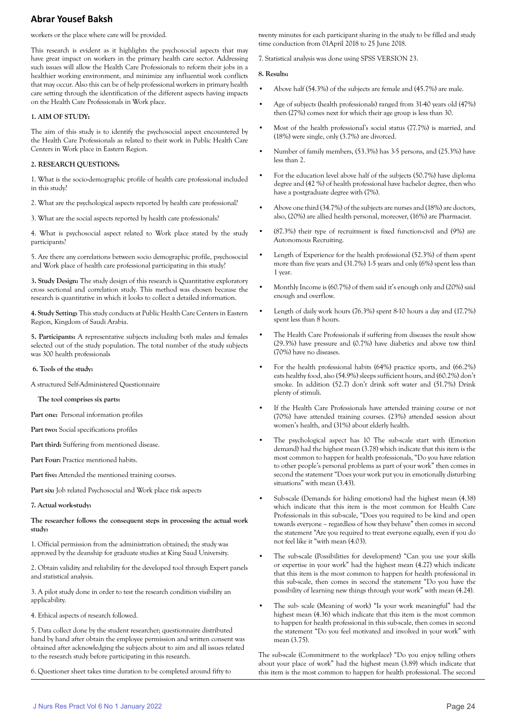workers or the place where care will be provided.

This research is evident as it highlights the psychosocial aspects that may have great impact on workers in the primary health care sector. Addressing such issues will allow the Health Care Professionals to reform their jobs in a healthier working environment, and minimize any influential work conflicts that may occur. Also this can be of help professional workers in primary health care setting through the identification of the different aspects having impacts on the Health Care Professionals in Work place.

## **1. AIM OF STUDY:**

The aim of this study is to identify the psychosocial aspect encountered by the Health Care Professionals as related to their work in Public Health Care Centers in Work place in Eastern Region.

## **2. RESEARCH QUESTIONS:**

1. What is the socio-demographic profile of health care professional included in this study?

2. What are the psychological aspects reported by health care professional?

3. What are the social aspects reported by health care professionals?

4. What is psychosocial aspect related to Work place stated by the study participants?

5. Are there any correlations between socio demographic profile, psychosocial and Work place of health care professional participating in this study?

**3. Study Design:** The study design of this research is Quantitative exploratory cross sectional and correlation study. This method was chosen because the research is quantitative in which it looks to collect a detailed information.

**4. Study Setting:** This study conducts at Public Health Care Centers in Eastern Region, Kingdom of Saudi Arabia.

**5. Participants:** A representative subjects including both males and females selected out of the study population. The total number of the study subjects was 300 health professionals

### **6. Tools of the study:**

A structured Self-Administered Questionnaire

 **The tool comprises six parts:**

Part one: Personal information profiles

Part two: Social specifications profiles

Part third: Suffering from mentioned disease.

Part Four: Practice mentioned habits.

Part five: Attended the mentioned training courses.

Part six: Job related Psychosocial and Work place risk aspects

### **7. Actual work-study:**

**The researcher follows the consequent steps in processing the actual work study:**

1. Official permission from the administration obtained; the study was approved by the deanship for graduate studies at King Saud University.

2. Obtain validity and reliability for the developed tool through Expert panels and statistical analysis.

3. A pilot study done in order to test the research condition visibility an applicability.

4. Ethical aspects of research followed.

5. Data collect done by the student researcher; questionnaire distributed hand by hand after obtain the employee permission and written consent was obtained after acknowledging the subjects about to aim and all issues related to the research study before participating in this research.

6. Questioner sheet takes time duration to be completed around fifty to

twenty minutes for each participant sharing in the study to be filled and study time conduction from 01April 2018 to 25 June 2018.

7. Statistical analysis was done using SPSS VERSION 23.

## **8. Results:**

- Above half (54.3%) of the subjects are female and (45.7%) are male.
- Age of subjects (health professionals) ranged from 31-40 years old (47%) then (27%) comes next for which their age group is less than 30.
- Most of the health professional's social status (77.7%) is married, and (18%) were single, only (3.7%) are divorced.
- Number of family members, (53.3%) has 3-5 persons, and (25.3%) have less than 2.
- For the education level above half of the subjects (50.7%) have diploma degree and (42 %) of health professional have bachelor degree, then who have a postgraduate degree with (7%).
- Above one third (34.7%) of the subjects are nurses and (18%) are doctors, also, (20%) are allied health personal, moreover, (16%) are Pharmacist.
- (87.3%) their type of recruitment is fixed function-civil and (9%) are Autonomous Recruiting.
- Length of Experience for the health professional (52.3%) of them spent more than five years and (31.7%) 1-5 years and only (6%) spent less than 1 year.
- Monthly Income is (60.7%) of them said it's enough only and (20%) said enough and overflow.
- Length of daily work hours (76.3%) spent 8-10 hours a day and (17.7%) spent less than 8 hours.
- The Health Care Professionals if suffering from diseases the result show (29.3%) have pressure and (0.7%) have diabetics and above tow third (70%) have no diseases.
- For the health professional habits (64%) practice sports, and (66.2%) eats healthy food, also (54.9%) sleeps sufficient hours, and (60.2%) don't smoke. In addition (52.7) don't drink soft water and (51.7%) Drink plenty of stimuli.
- If the Health Care Professionals have attended training course or not (70%) have attended training courses. (23%) attended session about women's health, and (31%) about elderly health.
- The psychological aspect has 10 The sub-scale start with (Emotion demand) had the highest mean (3.78) which indicate that this item is the most common to happen for health professionals, "Do you have relation to other people's personal problems as part of your work" then comes in second the statement "Does your work put you in emotionally disturbing situations" with mean (3.43).
- Sub-scale (Demands for hiding emotions) had the highest mean (4.38) which indicate that this item is the most common for Health Care Professionals in this sub-scale, "Does you required to be kind and open towards everyone – regardless of how they behave" then comes in second the statement "Are you required to treat everyone equally, even if you do not feel like it "with mean (4.03).
- The sub-scale (Possibilities for development) "Can you use your skills or expertise in your work" had the highest mean (4.27) which indicate that this item is the most common to happen for health professional in this sub-scale, then comes in second the statement "Do you have the possibility of learning new things through your work" with mean (4.24).
- The sub- scale (Meaning of work) "Is your work meaningful" had the highest mean (4.36) which indicate that this item is the most common to happen for health professional in this sub-scale, then comes in second the statement "Do you feel motivated and involved in your work" with mean (3.75).

The sub-scale (Commitment to the workplace) "Do you enjoy telling others about your place of work" had the highest mean (3.89) which indicate that this item is the most common to happen for health professional. The second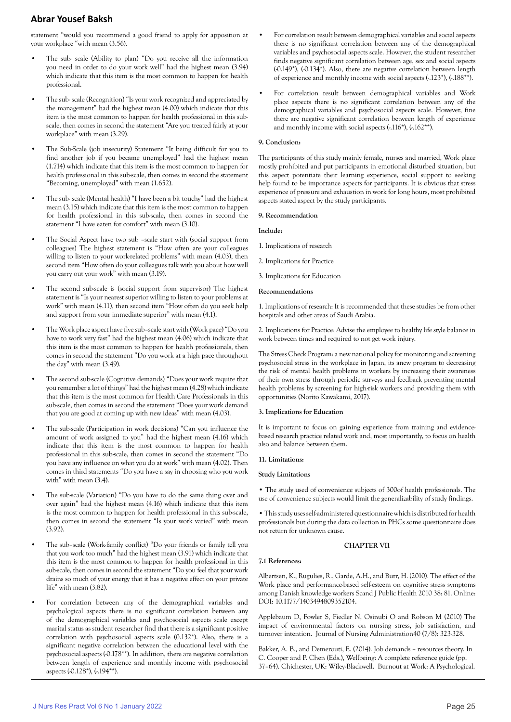statement "would you recommend a good friend to apply for apposition at your workplace "with mean (3.56).

- The sub- scale (Ability to plan) "Do you receive all the information you need in order to do your work well" had the highest mean (3.94) which indicate that this item is the most common to happen for health professional.
- The sub- scale (Recognition) "Is your work recognized and appreciated by the management" had the highest mean (4.00) which indicate that this item is the most common to happen for health professional in this subscale, then comes in second the statement "Are you treated fairly at your workplace" with mean (3.29).
- The Sub-Scale (job insecurity) Statement "It being difficult for you to find another job if you became unemployed" had the highest mean (1.714) which indicate that this item is the most common to happen for health professional in this sub-scale, then comes in second the statement "Becoming, unemployed" with mean (1.652).
- The sub- scale (Mental health) "I have been a bit touchy" had the highest mean (3.15) which indicate that this item is the most common to happen for health professional in this sub-scale, then comes in second the statement "I have eaten for comfort" with mean (3.10).
- The Social Aspect have two sub -scale start with (social support from colleagues) The highest statement is "How often are your colleagues willing to listen to your work-related problems" with mean (4.03), then second item "How often do your colleagues talk with you about how well you carry out your work" with mean (3.19).
- The second sub-scale is (social support from supervisor) The highest statement is "Is your nearest superior willing to listen to your problems at work" with mean (4.11), then second item "How often do you seek help and support from your immediate superior" with mean (4.1).
- The Work place aspect have five sub–scale start with (Work pace) "Do you have to work very fast" had the highest mean (4.06) which indicate that this item is the most common to happen for health professionals, then comes in second the statement "Do you work at a high pace throughout the day" with mean (3.49).
- The second sub-scale (Cognitive demands) "Does your work require that you remember a lot of things" had the highest mean (4.28) which indicate that this item is the most common for Health Care Professionals in this sub-scale, then comes in second the statement "Does your work demand that you are good at coming up with new ideas" with mean (4.03).
- The sub-scale (Participation in work decisions) "Can you influence the amount of work assigned to you" had the highest mean (4.16) which indicate that this item is the most common to happen for health professional in this sub-scale, then comes in second the statement "Do you have any influence on what you do at work" with mean (4.02). Then comes in third statements "Do you have a say in choosing who you work with" with mean (3.4).
- The sub-scale (Variation) "Do you have to do the same thing over and over again" had the highest mean (4.16) which indicate that this item is the most common to happen for health professional in this sub-scale, then comes in second the statement "Is your work varied" with mean (3.92).
- The sub–scale (Work-family conflict) "Do your friends or family tell you that you work too much" had the highest mean (3.91) which indicate that this item is the most common to happen for health professional in this sub-scale, then comes in second the statement "Do you feel that your work drains so much of your energy that it has a negative effect on your private life" with mean (3.82).
- For correlation between any of the demographical variables and psychological aspects there is no significant correlation between any of the demographical variables and psychosocial aspects scale except marital status as student researcher find that there is a significant positive correlation with psychosocial aspects scale (0.132\*). Also, there is a significant negative correlation between the educational level with the psychosocial aspects (-0.178\*\*). In addition, there are negative correlation between length of experience and monthly income with psychosocial aspects (-0.128\*), (-.194\*\*).
- For correlation result between demographical variables and social aspects there is no significant correlation between any of the demographical variables and psychosocial aspects scale. However, the student researcher finds negative significant correlation between age, sex and social aspects (-0.149\*), (-0.134\*). Also, there are negative correlation between length of experience and monthly income with social aspects (-.123\*), (-.188\*\*).
- For correlation result between demographical variables and Work place aspects there is no significant correlation between any of the demographical variables and psychosocial aspects scale. However, fine there are negative significant correlation between length of experience and monthly income with social aspects  $(.116^*), (.162^{**}).$

### **9. Conclusion:**

The participants of this study mainly female, nurses and married, Work place mostly prohibited and put participants in emotional disturbed situation, but this aspect potentiate their learning experience, social support to seeking help found to be importance aspects for participants. It is obvious that stress experience of pressure and exhaustion in work for long hours, most prohibited aspects stated aspect by the study participants.

## **9. Recommendation**

## **Include:**

- 1. Implications of research
- 2. Implications for Practice
- 3. Implications for Education

### **Recommendations**

1. Implications of research: It is recommended that these studies be from other hospitals and other areas of Saudi Arabia.

2. Implications for Practice: Advise the employee to healthy life style balance in work between times and required to not get work injury.

The Stress Check Program: a new national policy for monitoring and screening psychosocial stress in the workplace in Japan, its anew program to decreasing the risk of mental health problems in workers by increasing their awareness of their own stress through periodic surveys and feedback preventing mental health problems by screening for high-risk workers and providing them with opportunities (Norito Kawakami, 2017).

### **3. Implications for Education**

It is important to focus on gaining experience from training and evidencebased research practice related work and, most importantly, to focus on health also and balance between them.

## **11. Limitations:**

## **Study Limitations**

• The study used of convenience subjects of 300of health professionals. The use of convenience subjects would limit the generalizability of study findings.

• This study uses self-administered questionnaire which is distributed for health professionals but during the data collection in PHCs some questionnaire does not return for unknown cause.

### **CHAPTER VII**

### **7.1 References:**

Albertsen, K., Rugulies, R., Garde, A.H., and Burr, H. (2010). The effect of the Work place and performance-based self-esteem on cognitive stress symptoms among Danish knowledge workers Scand J Public Health 2010 38: 81. Online: DOI: 10.1177/1403494809352104.

Applebaum D, Fowler S, Fiedler N, Osinubi O and Robson M (2010) The impact of environmental factors on nursing stress, job satisfaction, and turnover intention. Journal of Nursing Administration40 (7/8): 323-328.

Bakker, A. B., and Demerouti, E. (2014). Job demands – resources theory. In C. Cooper and P. Chen (Eds.), Wellbeing: A complete reference guide (pp. 37–64). Chichester, UK: Wiley-Blackwell. Burnout at Work: A Psychological.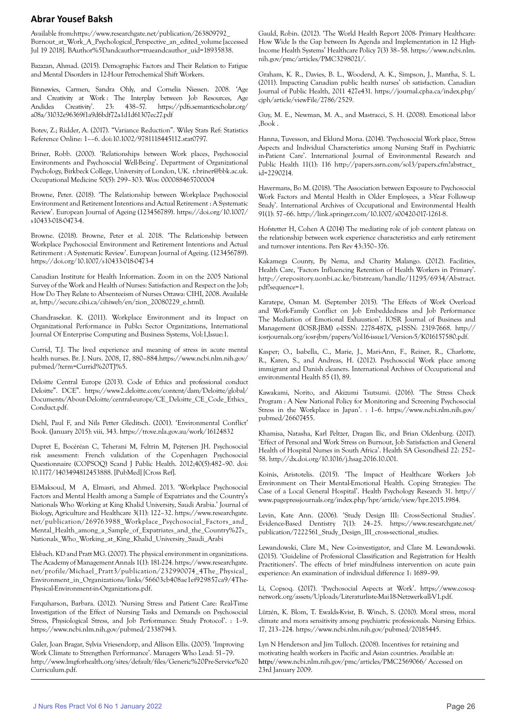Available from:https://www.researchgate.net/publication/263809792\_ Burnout\_at\_Work\_A\_Psychological\_Perspective\_an\_edited\_volume [accessed Jul 19 2018]. BAuthor%5Dandcauthor=trueandcauthor\_uid=18935838.

Bazazan, Ahmad. (2015). Demographic Factors and Their Relation to Fatigue and Mental Disorders in 12-Hour Petrochemical Shift Workers.

Binnewies, Carmen, Sandra Ohly, and Cornelia Niessen. 2008. 'Age and Creativity at Work : The Interplay between Job Resources, Age Andidea Creativity'. 23: 438–57. https://pdfs.semanticscholar.org/ a08a/31032e96369f1a9d6bdf72a1d1d61307ec27.pdf

Botev, Z.; Ridder, A. (2017). "Variance Reduction". Wiley Stats Ref: Statistics Reference Online: 1––6. doi:10.1002/9781118445112.stat0797.

Briner, Robb. (2000). 'Relationships between Work places, Psychosocial Environments and Psychosocial Well-Being'. Department of Organizational Psychology, Birkbeck College, University of London, UK. r.briner@bbk.ac.uk. Occupational Medicine 50(5): 299–303. Wos: 000088465700004

Browne, Peter. (2018). 'The Relationship between Workplace Psychosocial Environment and Retirement Intentions and Actual Retirement : A Systematic Review'. European Journal of Ageing (123456789). https://doi.org/10.1007/ s10433-018-0473-4.

Browne. (2018). Browne, Peter et al. 2018. 'The Relationship between Workplace Psychosocial Environment and Retirement Intentions and Actual Retirement : A Systematic Review'. European Journal of Ageing. (123456789). https://doi.org/10.1007/s10433-018-0473-4

Canadian Institute for Health Information. Zoom in on the 2005 National Survey of the Work and Health of Nurses: Satisfaction and Respect on the Job; How Do They Relate to Absenteeism of Nurses Ottawa: CIHI, 2008. Available at, http://secure.cihi.ca/cihiweb/en/zion\_20080229\_e.html).

Chandrasekar. K. (2011). Workplace Environment and its Impact on Organizational Performance in Publcı Sector Organizations, International Journal Of Enterprise Computing and Business Systems, Vol:1,Issue:1.

Currid, T.J. The lived experience and meaning of stress in acute mental health nurses. Br. J. Nurs. 2008, 17, 880–884.https://www.ncbi.nlm.nih.gov/ pubmed/?term=Currid%20TJ%5.

Deloitte Central Europe (2013). Code of Ethics and professional conduct Deloitte". DCE". https://www2.deloitte.com/content/dam/Deloitte/global/ Documents/About-Deloitte/central-europe/CE\_Deloitte\_CE\_Code\_Ethics\_ Conduct.pdf.

Diehl, Paul F, and Nils Petter Gleditsch. (2001). 'Environmental Conflict' Book. (January 2015): viii, 343. https://trove.nla.gov.au/work/16124832

Dupret E, Bocéréan C, Teherani M, Feltrin M, Pejtersen JH. Psychosocial risk assessment: French validation of the Copenhagen Psychosocial Questionnaire (COPSOQ) Scand J Public Health. 2012;40(5):482–90. doi: 10.1177/1403494812453888. [PubMed] [Cross Ref].

El-Maksoud, M A, Elmasri, and Ahmed. 2013. 'Workplace Psychosocial Factors and Mental Health among a Sample of Expatriates and the Country's Nationals Who Working at King Khalid University, Saudi Arabia.' Journal of Biology, Agriculture and Healthcare 3(11): 122–32. https://www.researchgate. net/publication/269763988\_Workplace\_Psychosocial\_Factors\_and\_ Mental\_Health\_among\_a\_Sample\_of\_Expatriates\_and\_the\_Country%27s\_ Nationals\_Who\_Working\_at\_King\_Khalid\_University\_Saudi\_Arabi

Elsbach. KD and Pratt MG. (2007). The physical environment in organizations. The Academy of Management Annals 1(1): 181-224. https://www.researchgate. net/profile/Michael\_Pratt3/publication/232990074\_4The\_Physical\_ Environment\_in\_Organizations/links/56603cb408ae1ef929857ca9/4The-Physical-Environment-in-Organizations.pdf.

Farquharson, Barbara. (2012). 'Nursing Stress and Patient Care: Real-Time Investigation of the Effect of Nursing Tasks and Demands on Psychosocial Stress, Physiological Stress, and Job Performance: Study Protocol'. : 1–9. https://www.ncbi.nlm.nih.gov/pubmed/23387943.

Galer, Joan Bragar, Sylvia Vriesendorp, and Allison Ellis. (2005). 'Improving Work Climate to Strengthen Performance'. Managers Who Lead: 51–79. http://www.lmgforhealth.org/sites/default/files/Generic%20Pre-Service%20 Curriculum.pdf.

Gauld, Robin. (2012). 'The World Health Report 2008- Primary Healthcare: How Wide Is the Gap between Its Agenda and Implementation in 12 High-Income Health Systems' Healthcare Policy 7(3) 38–58. https://www.ncbi.nlm. nih.gov/pmc/articles/PMC3298021/.

Graham, K. R., Davies, B. L., Woodend, A. K., Simpson, J., Mantha, S. L. (2011). Impacting Canadian public health nurses' ob satisfaction. Canadian Journal of Public Health, 2011 427e431. https://journal.cpha.ca/index.php/ cjph/article/viewFile/2786/2529.

Guy, M. E., Newman, M. A., and Mastracci, S. H. (2008). Emotional labor ,Book .

Hanna, Tuvesson, and Eklund Mona. (2014). 'Psychosocial Work place, Stress Aspects and Individual Characteristics among Nursing Staff in Psychiatric in-Patient Care'. International Journal of Environmental Research and Public Health 11(1): 116 http://papers.ssrn.com/sol3/papers.cfm?abstract\_ id=2290214.

Havermans, Bo M. (2018). 'The Association between Exposure to Psychosocial Work Factors and Mental Health in Older Employees, a 3-Year Follow-up Study'. International Archives of Occupational and Environmental Health 91(1): 57–66. http://link.springer.com/10.1007/s00420-017-1261-8.

Hofstetter H, Cohen A (2014) The mediating role of job content plateau on the relationship between work experience characteristics and early retirement and turnover intentions. Pers Rev 43:350–376.

Kakamega County, By Nema, and Charity Malango. (2012). Facilities, Health Care, 'Factors Influencing Retention of Health Workers in Primary'. http://erepository.uonbi.ac.ke/bitstream/handle/11295/6934/Abstract. pdf?sequence=1.

Karatepe, Osman M. (September 2015). 'The Effects of Work Overload and Work-Family Conflict on Job Embeddedness and Job Performance The Mediation of Emotional Exhaustion'. IOSR Journal of Business and Management (IOSR-JBM) e-ISSN: 2278-487X, p-ISSN: 2319-7668. http:// iosrjournals.org/iosr-jbm/papers/Vol16-issue1/Version-5/K016157580.pdf.

Kasper; O., Isabella, C., Marie, J., Mari-Ann, F., Reiner, R., Charlotte, R., Karen, S., and Andreas, H. (2012). Psychosocial Work place among immigrant and Danish cleaners. International Archives of Occupational and environmental Health 85 (1), 89.

Kawakami, Norito, and Akizumi Tsutsumi. (2016). 'The Stress Check Program : A New National Policy for Monitoring and Screening Psychosocial Stress in the Workplace in Japan'. : 1–6. https://www.ncbi.nlm.nih.gov/ pubmed/26607455.

Khamisa, Natasha, Karl Peltzer, Dragan Ilic, and Brian Oldenburg. (2017). 'Effect of Personal and Work Stress on Burnout, Job Satisfaction and General Health of Hospital Nurses in South Africa'. Health SA Gesondheid 22: 252– 58. http://dx.doi.org/10.1016/j.hsag.2016.10.001.

Koinis, Aristotelis. (2015). 'The Impact of Healthcare Workers Job Environment on Their Mental-Emotional Health. Coping Strategies: The Case of a Local General Hospital'. Health Psychology Research 31. http:// www.pagepressjournals.org/index.php/hpr/article/view/hpr.2015.1984.

Levin, Kate Ann. (2006). 'Study Design III: Cross-Sectional Studies'. Evidence-Based Dentistry 7(1): 24–25. https://www.researchgate.net/ publication/7222561\_Study\_Design\_III\_cross-sectional\_studies.

Lewandowski, Clare M., New Co-investigator, and Clare M. Lewandowski. (2015). 'Guideline of Professional Classification and Registration for Health Practitioners'. The effects of brief mindfulness intervention on acute pain experience: An examination of individual difference 1: 1689–99.

Li, Copsoq. (2017). 'Psychosocial Aspects at Work'. https://www.cosoqnetwork.org/assets/Uploads/Literaturliste-Mai18-Netzwerk-all-V1.pdf.

Lützén, K. Blom, T. Ewalds-Kvist, B. Winch, S. (2010). Moral stress, moral climate and mora sensitivity among psychiatric professionals. Nursing Ethics. 17, 213–224. https://www.ncbi.nlm.nih.gov/pubmed/20185445.

Lyn N Henderson and Jim Tulloch. (2008). Incentives for retaining and motivating health workers in Pacific and Asian countries. Available at: **http://**www.ncbi.nlm.nih.gov/pmc/articles/PMC2569066/ Accessed on 23rd January 2009.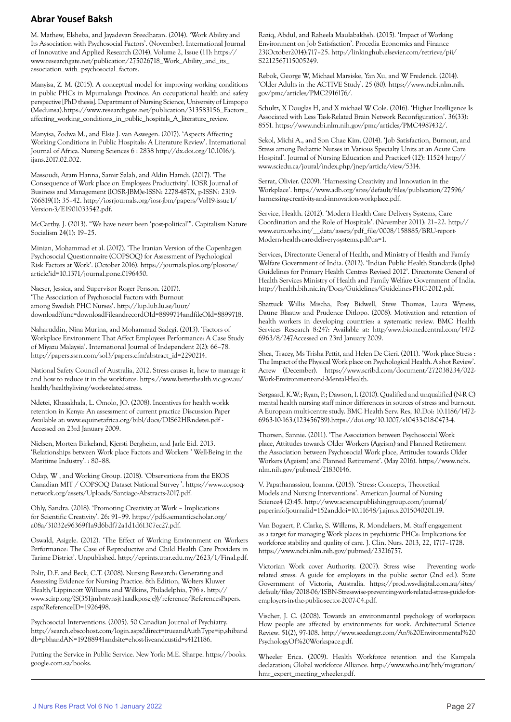M. Mathew, Elsheba, and Jayadevan Sreedharan. (2014). 'Work Ability and Its Association with Psychosocial Factors'. (November). International Journal of Innovative and Applied Research (2014), Volume 2, Issue (11): https:// www.researchgate.net/publication/275026718\_Work\_Ability\_and\_its\_ association\_with\_psychosocial\_factors.

Manyisa, Z. M. (2015). A conceptual model for improving working conditions in public PHCs in Mpumalanga Province. An occupational health and safety perspective [PhD thesis]. Department of Nursing Science, University of Limpopo (Medunsa).https://www.researchgate.net/publication/313583156\_Factors\_ affecting\_working\_conditions\_in\_public\_hospitals\_A\_literature\_review.

Manyisa, Zodwa M., and Elsie J. van Aswegen. (2017). 'Aspects Affecting Working Conditions in Public Hospitals: A Literature Review'. International Journal of Africa. Nursing Sciences 6 : 2838 http://dx.doi.org/10.1016/j. ijans.2017.02.002.

Massoudi, Aram Hanna, Samir Salah, and Aldin Hamdi. (2017). 'The Consequence of Work place on Employees Productivity'. IOSR Journal of Business and Management (IOSR-JBM)e-ISSN: 2278-487X, p-ISSN: 2319- 766819(1): 35–42. http://iosrjournals.org/iosr-jbm/papers/Vol19-issue1/ Version-3/E1901033542.pdf.

McCarthy, J. (2013). "We have never been 'post-political'". Capitalism Nature Socialism 24(1): 19–25.

Minian, Mohammad et al. (2017). 'The Iranian Version of the Copenhagen Psychosocial Questionnaire (COPSOQ) for Assessment of Psychological Risk Factors at Work'. (October 2016). https://journals.plos.org/plosone/ article?id=10.1371/journal.pone.0196450.

Naeser, Jessica, and Supervisor Roger Persson. (2017). 'The Association of Psychosocial Factors with Burnout among Swedish PHC Nurses'. http://lup.lub.lu.se/luur/ download?func=downloadFileandrecordOId=8899714andfileOId=8899718.

Naharuddin, Nina Murina, and Mohammad Sadegi. (2013). 'Factors of Workplace Environment That Affect Employees Performance: A Case Study of Miyazu Malaysia'. International Journal of Independent 2(2): 66–78. http://papers.ssrn.com/sol3/papers.cfm?abstract\_id=2290214.

National Safety Council of Australia, 2012. Stress causes it, how to manage it and how to reduce it in the workforce. https://www.betterhealth.vic.gov.au/ health/healthyliving/work-related-stress.

Ndetei, Khasakhala, L. Omolo, JO. (2008). Incentives for health workk retention in Kenya: An assessment of current practice Discussion Paper Available at: www.equinetafrica.org/bibl/docs/DIS62HRndetei.pdf - Accessed on 23rd January 2009.

Nielsen, Morten Birkeland, Kjersti Bergheim, and Jarle Eid. 2013. 'Relationships between Work place Factors and Workers ' Well-Being in the Maritime Industry'. : 80–88.

Odap, W , and Working Group. (2018). 'Observations from the EKOS Canadian MIT / COPSOQ Dataset National Survey '. https://www.copsoqnetwork.org/assets/Uploads/Santiago-Abstracts-2017.pdf.

Ohly, Sandra. (2018). 'Promoting Creativity at Work – Implications for Scientific Creativity'. 26: 91–99. https://pdfs.semanticscholar.org/ a08a/31032e96369f1a9d6bdf72a1d1d61307ec27.pdf.

Oswald, Asigele. (2012). 'The Effect of Working Environment on Workers Performance: The Case of Reproductive and Child Health Care Providers in Tarime District'. Unpublished. http://eprints.utar.edu.my/2623/1/Final.pdf.

Polit, D.F. and Beck, C.T. (2008). Nursing Research: Generating and Assessing Evidence for Nursing Practice. 8th Edition, Wolters Kluwer Health/Lippincott Williams and Wilkins, Philadelphia, 796 s. http:// www.scirp.org/(S(351jmbntvnsjt1aadkposzje))/reference/ReferencesPapers. aspx?ReferenceID=1926498.

Psychosocial Interventions. (2005). 50 Canadian Journal of Psychiatry. http://search.ebscohost.com/login.aspx?direct=trueandAuthType=ip,shiband db=pbhandAN=19288941andsite=ehost-liveandcustid=s4121186.

Putting the Service in Public Service. New York: M.E. Sharpe. https://books. google.com.sa/books.

Raziq, Abdul, and Raheela Maulabakhsh. (2015). 'Impact of Working Environment on Job Satisfaction'. Procedia Economics and Finance 23(October2014):717–25. http://linkinghub.elsevier.com/retrieve/pii/ S2212567115005249.

Rebok, George W, Michael Marsiske, Yan Xu, and W Frederick. (2014). 'Older Adults in the ACTIVE Study'. 25 (80). https://www.ncbi.nlm.nih. gov/pmc/articles/PMC2916176/.

Schultz, X Douglas H, and X michael W Cole. (2016). 'Higher Intelligence Is Associated with Less Task-Related Brain Network Reconfiguration'. 36(33): 8551. https://www.ncbi.nlm.nih.gov/pmc/articles/PMC4987432/.

Sekol, Michi A., and Son Chae Kim. (2014). 'Job Satisfaction, Burnout, and Stress among Pediatric Nurses in Various Specialty Units at an Acute Care Hospital'. Journal of Nursing Education and Practice4 (12): 11524 http:// www.sciedu.ca/joural/index.php/jnep/article/view/5314.

Serrat, Olivier. (2009). 'Harnessing Creativity and Innovation in the Workplace'. https://www.adb.org/sites/default/files/publication/27596/ harnessing-creativity-and-innovation-workplace.pdf.

Service, Health. (2012). 'Modern Health Care Delivery Systems, Care Coordination and the Role of Hospitals'. (November 2011): 21–22. http:// www.euro.who.int/\_\_data/assets/pdf\_file/0008/158885/BRU-report-Modern-health-care-delivery-systems.pdf?ua=1.

Services, Directorate General of Health, and Ministry of Health and Family Welfare Government of India. (2012). 'Indian Public Health Standards (Iphs) Guidelines for Primary Health Centres Revised 2012'. Directorate General of Health Services Ministry of Health and Family Welfare Government of India. http://health.bih.nic.in/Docs/Guidelines/Guidelines-PHC-2012.pdf.

Shattuck Willis Mischa, Posy Bidwell, Steve Thomas, Laura Wyness, Daune Blaauw and Prudence Ditlopo. (2008). Motivation and retention of health workers in developing countries: a systematic review. BMC Health Services Research 8:247: Available at: http/www.biomedcentral.com/1472- 6963/8/247Accessed on 23rd January 2009.

Shea, Tracey, Ms Trisha Pettit, and Helen De Cieri. (2011). 'Work place Stress : The Impact of the Physical Work place on Psychological Health. A shot Review'. Acrew (December). https://www.scribd.com/document/272038234/022- Work-Environment-and-Mental-Health.

Sørgaard, K.W.; Ryan, P.; Dawson, I. (2010). Qualified and unqualified (N-R C) mental health nursing staff minor differences in sources of stress and burnout. A European multi-centre study. BMC Health Serv. Res, 10.Doi: 10.1186/1472- 6963-10-163.(123456789).https://doi.org/10.1007/s10433-018-0473-4.

Thorsen, Sannie. (2011). 'The Association between Psychosocial Work place, Attitudes towards Older Workers (Ageism) and Planned Retirement the Association between Psychosocial Work place, Attitudes towards Older Workers (Ageism) and Planned Retirement'. (May 2016). https://www.ncbi. nlm.nih.gov/pubmed/21830146.

V. Papathanassiou, Ioanna. (2015). 'Stress: Concepts, Theoretical Models and Nursing Interventions'. American Journal of Nursing Science4 (2):45. http://www.sciencepublishinggroup.com/journal/ paperinfo?journalid=152anddoi=10.11648/j.ajns.s.2015040201.19.

Van Bogaert, P. Clarke, S. Willems, R. Mondelaers, M. Staff engagement as a target for managing Work places in psychiatric PHCs: Implications for workforce stability and quality of care. J. Clin. Nurs. 2013, 22, 1717–1728. https://www.ncbi.nlm.nih.gov/pubmed/23216757.

Victorian Work cover Authority. (2007). Stress wise Preventing workrelated stress: A guide for employers in the public sector (2nd ed.). State Government of Victoria, Australia. https://prod.wsvdigital.com.au/sites/ default/files/2018-06/ISBN-Stresswise-preventing-work-related-stress-guide-foremployers-in-the-public-sector-2007-04.pdf.

Vischer, J. C. (2008). Towards an environmental psychology of workspace: How people are affected by environments for work. Architectural Science Review. 51(2), 97-108. http://www.seedengr.com/An%20Environmental%20 PsychologyOf%20Workspace.pdf.

Wheeler Erica. (2009). Health Workforce retention and the Kampala declaration; Global workforce Alliance. http://www.who.int/hrh/migration/ hmr\_expert\_meeting\_wheeler.pdf.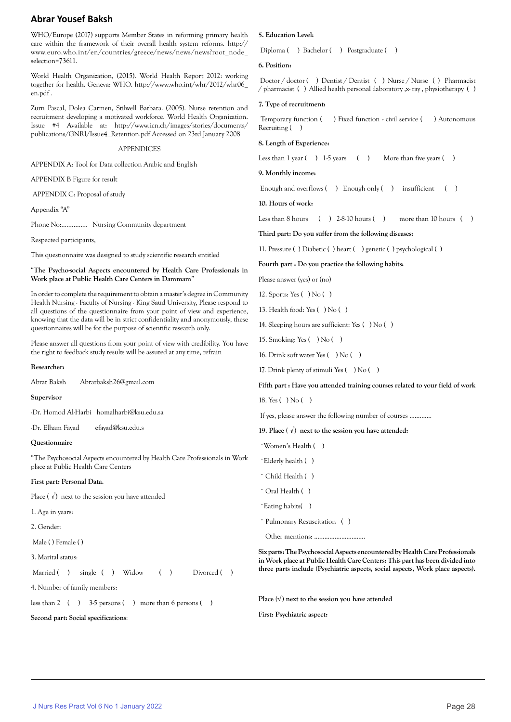WHO/Europe (2017) supports Member States in reforming primary health care within the framework of their overall health system reforms. http:// www.euro.who.int/en/countries/greece/news/news/news?root\_node\_ selection=73611.

World Health Organization, (2015). World Health Report 2012: working together for health. Geneva: WHO. http://www.who.int/whr/2012/whr06\_ en.pdf .

Zurn Pascal, Dolea Carmen, Stilwell Barbara. (2005). Nurse retention and recruitment developing a motivated workforce. World Health Organization. Issue #4 Available at: http://www.icn.ch/images/stories/documents/ publications/GNRI/Issue4\_Retention.pdf Accessed on 23rd January 2008

#### APPENDICES

APPENDIX A: Tool for Data collection Arabic and English

APPENDIX B Figure for result

APPENDIX C: Proposal of study

Appendix "A"

Phone No:…………… Nursing Community department

Respected participants,

This questionnaire was designed to study scientific research entitled

### "**The Psycho-social Aspects encountered by Health Care Professionals in Work place at Public Health Care Centers in Dammam**"

In order to complete the requirement to obtain a master's degree in Community Health Nursing - Faculty of Nursing - King Saud University, Please respond to all questions of the questionnaire from your point of view and experience, knowing that the data will be in strict confidentiality and anonymously, these questionnaires will be for the purpose of scientific research only.

Please answer all questions from your point of view with credibility. You have the right to feedback study results will be assured at any time, refrain

**Researcher:**

| Abrar Baksh | Abrarbaksh26@gmail.com |
|-------------|------------------------|
|-------------|------------------------|

**Supervisor**

-Dr. Homod Al-Harbi homalharbi@ksu.edu.sa

-Dr. Elham Fayad efayad@ksu.edu.s

#### **Questionnaire**

"The Psychosocial Aspects encountered by Health Care Professionals in Work place at Public Health Care Centers

## **First part: Personal Data.**

Place ( $\sqrt{ }$ ) next to the session you have attended

1. Age in years:

2. Gender:

Male ( ) Female ( )

3. Marital status:

Married ( ) single ( ) Widow ( ) Divorced ( )

4. Number of family members:

less than 2 ( ) 3-5 persons ( ) more than 6 persons ( )

**Second part: Social specifications**:

#### **5. Education Level:**

Diploma ( ) Bachelor ( ) Postgraduate ( )

### **6. Position:**

 Doctor / doctor ( ) Dentist / Dentist ( ) Nurse / Nurse ( ) Pharmacist / pharmacist ( ) Allied health personal :laboratory ,x- ray , physiotherapy ( )

#### **7. Type of recruitment:**

 Temporary function ( ) Fixed function - civil service ( ) Autonomous Recruiting ()

### **8. Length of Experience:**

Less than  $1$  year  $( )$  1-5 years  $( )$  More than five years  $( )$ 

**9. Monthly income:**

Enough and overflows ( ) Enough only ( ) insufficient ( )

**10. Hours of work:** 

Less than 8 hours ( ) 2-8-10 hours ( ) more than 10 hours ( )

**Third part: Do you suffer from the following diseases:**

11. Pressure ( ) Diabetic ( ) heart ( ) genetic ( ) psychological ( )

#### **Fourth part : Do you practice the following habits:**

Please answer (yes) or (no)

12. Sports: Yes ( ) No ( )

13. Health food: Yes ( ) No ( )

14. Sleeping hours are sufficient: Yes ( ) No ( )

15. Smoking: Yes ( ) No ( )

16. Drink soft water Yes ( ) No ( )

17. Drink plenty of stimuli Yes ( ) No ( )

### **Fifth part : Have you attended training courses related to your field of work**

18. Yes ( ) No ( )

If yes, please answer the following number of courses .............

**19. Place ( √) next to the session you have attended:**

¯Women's Health ( )

¯Elderly health ( )

- ¯ Child Health ( )
- ¯ Oral Health ( )
- ¯Eating habits( )
- ¯ Pulmonary Resuscitation ( )

Other mentions:

**Six parts: The Psychosocial Aspects encountered by Health Care Professionals in Work place at Public Health Care Centers: This part has been divided into three parts include (Psychiatric aspects, social aspects, Work place aspects).**

**Place (√) next to the session you have attended**

**First: Psychiatric aspect:**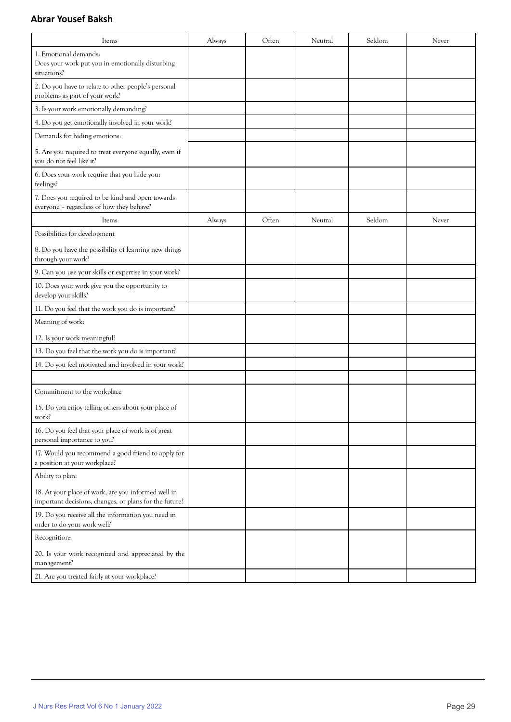| Items                                                                                                         | Always | Often | Neutral | Seldom | Never |
|---------------------------------------------------------------------------------------------------------------|--------|-------|---------|--------|-------|
| 1. Emotional demands:<br>Does your work put you in emotionally disturbing<br>situations?                      |        |       |         |        |       |
| 2. Do you have to relate to other people's personal<br>problems as part of your work?                         |        |       |         |        |       |
| 3. Is your work emotionally demanding?                                                                        |        |       |         |        |       |
| 4. Do you get emotionally involved in your work?                                                              |        |       |         |        |       |
| Demands for hiding emotions:                                                                                  |        |       |         |        |       |
| 5. Are you required to treat everyone equally, even if<br>you do not feel like it?                            |        |       |         |        |       |
| 6. Does your work require that you hide your<br>feelings?                                                     |        |       |         |        |       |
| 7. Does you required to be kind and open towards<br>everyone - regardless of how they behave?                 |        |       |         |        |       |
| Items                                                                                                         | Always | Often | Neutral | Seldom | Never |
| Possibilities for development                                                                                 |        |       |         |        |       |
| 8. Do you have the possibility of learning new things<br>through your work?                                   |        |       |         |        |       |
| 9. Can you use your skills or expertise in your work?                                                         |        |       |         |        |       |
| 10. Does your work give you the opportunity to<br>develop your skills?                                        |        |       |         |        |       |
| 11. Do you feel that the work you do is important?                                                            |        |       |         |        |       |
| Meaning of work:                                                                                              |        |       |         |        |       |
| 12. Is your work meaningful?                                                                                  |        |       |         |        |       |
| 13. Do you feel that the work you do is important?                                                            |        |       |         |        |       |
| 14. Do you feel motivated and involved in your work?                                                          |        |       |         |        |       |
|                                                                                                               |        |       |         |        |       |
| Commitment to the workplace                                                                                   |        |       |         |        |       |
| 15. Do you enjoy telling others about your place of<br>work?                                                  |        |       |         |        |       |
| 16. Do you feel that your place of work is of great<br>personal importance to you?                            |        |       |         |        |       |
| 17. Would you recommend a good friend to apply for<br>a position at your workplace?                           |        |       |         |        |       |
| Ability to plan:                                                                                              |        |       |         |        |       |
| 18. At your place of work, are you informed well in<br>important decisions, changes, or plans for the future? |        |       |         |        |       |
| 19. Do you receive all the information you need in<br>order to do your work well?                             |        |       |         |        |       |
| Recognition:                                                                                                  |        |       |         |        |       |
| 20. Is your work recognized and appreciated by the<br>management?                                             |        |       |         |        |       |
| 21. Are you treated fairly at your workplace?                                                                 |        |       |         |        |       |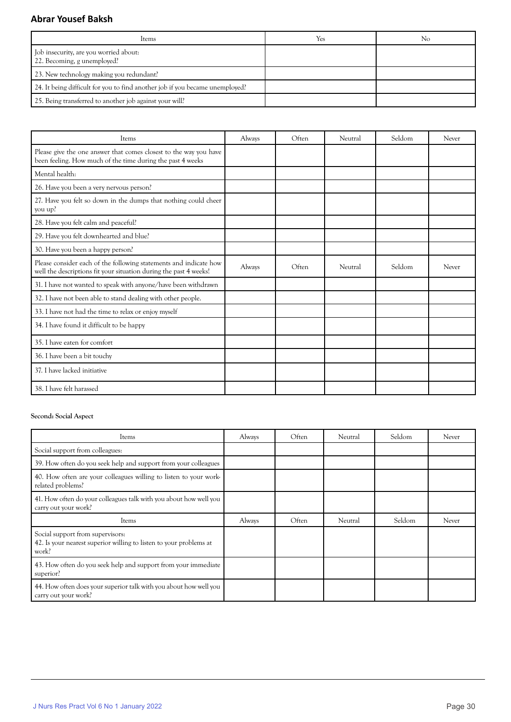| Items                                                                        | Yes | No |
|------------------------------------------------------------------------------|-----|----|
| Job insecurity, are you worried about:<br>22. Becoming, g unemployed?        |     |    |
| 23. New technology making you redundant?                                     |     |    |
| 24. It being difficult for you to find another job if you became unemployed? |     |    |
| 25. Being transferred to another job against your will?                      |     |    |

| Items                                                                                                                                  | Always | Often | Neutral | Seldom | Never |
|----------------------------------------------------------------------------------------------------------------------------------------|--------|-------|---------|--------|-------|
| Please give the one answer that comes closest to the way you have<br>been feeling. How much of the time during the past 4 weeks        |        |       |         |        |       |
| Mental health:                                                                                                                         |        |       |         |        |       |
| 26. Have you been a very nervous person?                                                                                               |        |       |         |        |       |
| 27. Have you felt so down in the dumps that nothing could cheer<br>you up?                                                             |        |       |         |        |       |
| 28. Have you felt calm and peaceful?                                                                                                   |        |       |         |        |       |
| 29. Have you felt downhearted and blue?                                                                                                |        |       |         |        |       |
| 30. Have you been a happy person?                                                                                                      |        |       |         |        |       |
| Please consider each of the following statements and indicate how<br>well the descriptions fit your situation during the past 4 weeks! | Always | Often | Neutral | Seldom | Never |
| 31. I have not wanted to speak with anyone/have been withdrawn                                                                         |        |       |         |        |       |
| 32. I have not been able to stand dealing with other people.                                                                           |        |       |         |        |       |
| 33. I have not had the time to relax or enjoy myself                                                                                   |        |       |         |        |       |
| 34. I have found it difficult to be happy                                                                                              |        |       |         |        |       |
| 35. I have eaten for comfort                                                                                                           |        |       |         |        |       |
| 36. I have been a bit touchy                                                                                                           |        |       |         |        |       |
| 37. I have lacked initiative                                                                                                           |        |       |         |        |       |
| 38. I have felt harassed                                                                                                               |        |       |         |        |       |

## **Second: Social Aspect**

| Items                                                                                                           | Always | Often | Neutral | Seldom | Never |
|-----------------------------------------------------------------------------------------------------------------|--------|-------|---------|--------|-------|
| Social support from colleagues:                                                                                 |        |       |         |        |       |
| 39. How often do you seek help and support from your colleagues                                                 |        |       |         |        |       |
| 40. How often are your colleagues willing to listen to your work-<br>related problems?                          |        |       |         |        |       |
| 41. How often do your colleagues talk with you about how well you<br>carry out your work?                       |        |       |         |        |       |
| Items                                                                                                           | Always | Often | Neutral | Seldom | Never |
| Social support from supervisors:<br>42. Is your nearest superior willing to listen to your problems at<br>work? |        |       |         |        |       |
| 43. How often do you seek help and support from your immediate<br>superior?                                     |        |       |         |        |       |
| 44. How often does your superior talk with you about how well you<br>carry out your work?                       |        |       |         |        |       |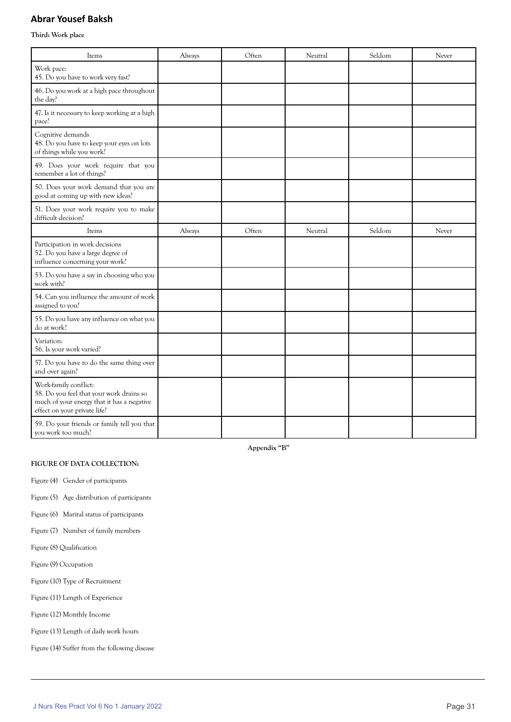**Third: Work place**

| Items                                                                                                                                           | Always | Often | Neutral | Seldom | Never |
|-------------------------------------------------------------------------------------------------------------------------------------------------|--------|-------|---------|--------|-------|
| Work pace:<br>45. Do you have to work very fast?                                                                                                |        |       |         |        |       |
| 46. Do you work at a high pace throughout<br>the day?                                                                                           |        |       |         |        |       |
| 47. Is it necessary to keep working at a high<br>pace?                                                                                          |        |       |         |        |       |
| Cognitive demands<br>48. Do you have to keep your eyes on lots<br>of things while you work?                                                     |        |       |         |        |       |
| 49. Does your work require that you<br>remember a lot of things?                                                                                |        |       |         |        |       |
| 50. Does your work demand that you are<br>good at coming up with new ideas?                                                                     |        |       |         |        |       |
| 51. Does your work require you to make<br>difficult decision?                                                                                   |        |       |         |        |       |
| Items                                                                                                                                           | Always | Often | Neutral | Seldom | Never |
| Participation in work decisions<br>52. Do you have a large degree of<br>influence concerning your work?                                         |        |       |         |        |       |
| 53. Do you have a say in choosing who you<br>work with?                                                                                         |        |       |         |        |       |
| 54. Can you influence the amount of work<br>assigned to you?                                                                                    |        |       |         |        |       |
| 55. Do you have any influence on what you<br>do at work?                                                                                        |        |       |         |        |       |
| Variation:<br>56. Is your work varied?                                                                                                          |        |       |         |        |       |
| 57. Do you have to do the same thing over<br>and over again?                                                                                    |        |       |         |        |       |
| Work-family conflict:<br>58. Do you feel that your work drains so<br>much of your energy that it has a negative<br>effect on your private life? |        |       |         |        |       |
| 59. Do your friends or family tell you that<br>you work too much?                                                                               |        |       |         |        |       |

**Appendix "B"**

## **FIGURE OF DATA COLLECTION:**

Figure (4) Gender of participants

Figure (5) Age distribution of participants

Figure (6) Marital status of participants

Figure (7) Number of family members

Figure (8) Qualification

Figure (9) Occupation

Figure (10) Type of Recruitment

Figure (11) Length of Experience

Figure (12) Monthly Income

Figure (13) Length of daily work hours

Figure (14) Suffer from the following disease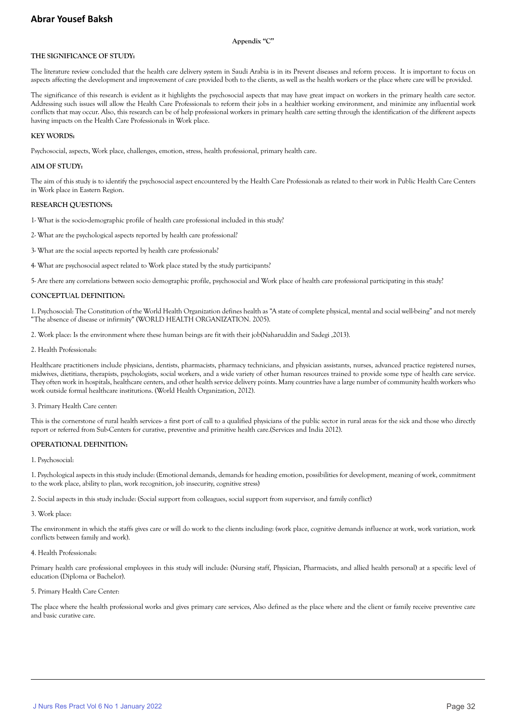## **Appendix "C"**

## **THE SIGNIFICANCE OF STUDY:**

The literature review concluded that the health care delivery system in Saudi Arabia is in its Prevent diseases and reform process. It is important to focus on aspects affecting the development and improvement of care provided both to the clients, as well as the health workers or the place where care will be provided.

The significance of this research is evident as it highlights the psychosocial aspects that may have great impact on workers in the primary health care sector. Addressing such issues will allow the Health Care Professionals to reform their jobs in a healthier working environment, and minimize any influential work conflicts that may occur. Also, this research can be of help professional workers in primary health care setting through the identification of the different aspects having impacts on the Health Care Professionals in Work place.

## **KEY WORDS:**

Psychosocial, aspects, Work place, challenges, emotion, stress, health professional, primary health care.

### **AIM OF STUDY:**

The aim of this study is to identify the psychosocial aspect encountered by the Health Care Professionals as related to their work in Public Health Care Centers in Work place in Eastern Region.

### **RESEARCH QUESTIONS:**

- 1- What is the socio-demographic profile of health care professional included in this study?
- 2- What are the psychological aspects reported by health care professional?
- 3- What are the social aspects reported by health care professionals?
- 4- What are psychosocial aspect related to Work place stated by the study participants?

5- Are there any correlations between socio demographic profile, psychosocial and Work place of health care professional participating in this study?

### **CONCEPTUAL DEFINITION:**

1. Psychosocial: The Constitution of the World Health Organization defines health as "A state of complete physical, mental and social well-being" and not merely "The absence of disease or infirmity" (WORLD HEALTH ORGANIZATION. 2005).

2. Work place: Is the environment where these human beings are fit with their job(Naharuddin and Sadegi ,2013).

2. Health Professionals:

Healthcare practitioners include physicians, dentists, pharmacists, pharmacy technicians, and physician assistants, nurses, advanced practice registered nurses, midwives, dietitians, therapists, psychologists, social workers, and a wide variety of other human resources trained to provide some type of health care service. They often work in hospitals, healthcare centers, and other health service delivery points. Many countries have a large number of community health workers who work outside formal healthcare institutions. (World Health Organization, 2012).

#### 3. Primary Health Care center:

This is the cornerstone of rural health services- a first port of call to a qualified physicians of the public sector in rural areas for the sick and those who directly report or referred from Sub-Centers for curative, preventive and primitive health care.(Services and India 2012).

### **OPERATIONAL DEFINITION:**

1. Psychosocial:

1. Psychological aspects in this study include: (Emotional demands, demands for heading emotion, possibilities for development, meaning of work, commitment to the work place, ability to plan, work recognition, job insecurity, cognitive stress)

2. Social aspects in this study include: (Social support from colleagues, social support from supervisor, and family conflict)

#### 3. Work place:

The environment in which the staffs gives care or will do work to the clients including: (work place, cognitive demands influence at work, work variation, work conflicts between family and work).

#### 4. Health Professionals:

Primary health care professional employees in this study will include: (Nursing staff, Physician, Pharmacists, and allied health personal) at a specific level of education (Diploma or Bachelor).

### 5. Primary Health Care Center:

The place where the health professional works and gives primary care services, Also defined as the place where and the client or family receive preventive care and basic curative care.